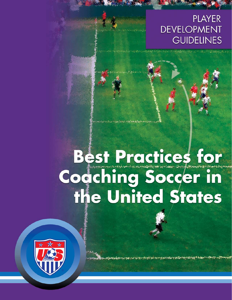## **PLAYER DEVELOPMENT GUIDELINES**

IT CONTRACTOR IN THE CONTRACTOR

# **Best Practices for<br>Coaching Soccer in<br>the United States**

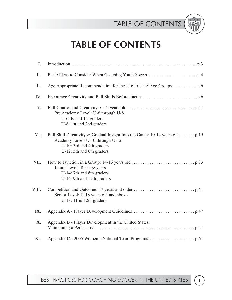

## **TABLE OF CONTENTS**

| I.    |                                                                                                                                                                           |
|-------|---------------------------------------------------------------------------------------------------------------------------------------------------------------------------|
| Π.    |                                                                                                                                                                           |
| III.  |                                                                                                                                                                           |
| IV.   |                                                                                                                                                                           |
| V.    | Pre Academy Level: U-6 through U-8<br>U-6: K and 1st graders<br>U-8: 1st and 2nd graders                                                                                  |
| VI.   | Ball Skill, Creativity & Gradual Insight Into the Game: 10-14 years oldp.19<br>Academy Level: U-10 through U-12<br>U-10: 3rd and 4th graders<br>U-12: 5th and 6th graders |
| VII.  | Junior Level: Teenage years<br>U-14: 7th and 8th graders<br>U-16: 9th and 19th graders                                                                                    |
| VIII. | Senior Level: U-18 years old and above<br>U-18: 11 & 12th graders                                                                                                         |
| IX.   |                                                                                                                                                                           |
| X.    | Appendix B - Player Development in the United States:                                                                                                                     |
| XI.   |                                                                                                                                                                           |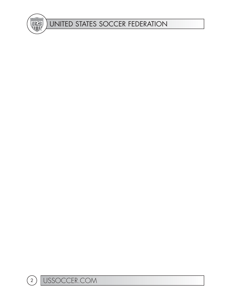

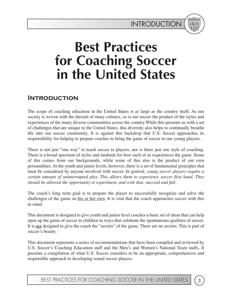

# **Best Practices for Coaching Soccer in the United States**

## **Introduction**

The scope of coaching education in the United States is as large as the country itself. As our society is woven with the threads of many cultures, so is our soccer the product of the styles and experiences of the many diverse communities across the country.While this presents us with a set of challenges that are unique to the United States, this diversity also helps to continually breathe life into our soccer community. It is against this backdrop that U.S. Soccer approaches its responsibility for helping to prepare coaches to bring the game of soccer to our young players.

There is not just "one way" to teach soccer to players, nor is there just one style of coaching. There is a broad spectrum of styles and methods for how each of us experiences the game. Some of this comes from our backgrounds, while some of this also is the product of our own personalities. At the youth and junior levels, however, there is a set of fundamental principles that must be considered by anyone involved with soccer. In general, *young soccer players require a certain amount of uninterrupted play. This allows them to experience soccer first hand. They should be allowed the opportunity to experiment, and with that, succeed and fail.*

The coach's long term goal is to prepare the player to successfully recognize and solve the challenges of the game on his or her own. It is vital that the coach approaches soccer with this in mind.

This document is designed to give youth and junior level coaches a basic set of ideas that can help open up the game of soccer to children in ways that celebrate the spontaneous qualities of soccer. It is not designed to give the coach the "secrets" of the game. There are no secrets. This is part of soccer's beauty.

This document represents a series of recommendations that have been compiled and reviewed by U.S. Soccer's Coaching Education staff and the Men's and Women's National Team staffs. It presents a compilation of what U.S. Soccer considers to be an appropriate, comprehensive and responsible approach to developing sound soccer players.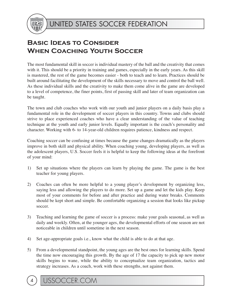## **Basic Ideas to Consider When Coaching Youth Soccer**

The most fundamental skill in soccer is individual mastery of the ball and the creativity that comes with it. This should be a priority in training and games, especially in the early years. As this skill is mastered, the rest of the game becomes easier - both to teach and to learn. Practices should be built around facilitating the development of the skills necessary to move and control the ball well. As these individual skills and the creativity to make them come alive in the game are developed to a level of competence, the finer points, first of passing skill and later of team organization can be taught.

The town and club coaches who work with our youth and junior players on a daily basis play a fundamental role in the development of soccer players in this country. Towns and clubs should strive to place experienced coaches who have a clear understanding of the value of teaching technique at the youth and early junior levels. Equally important is the coach's personality and character. Working with 6- to 14-year-old children requires patience, kindness and respect.

Coaching soccer can be confusing at times because the game changes dramatically as the players improve in both skill and physical ability. When coaching young, developing players, as well as the adolescent players, U.S. Soccer feels it is helpful to keep the following ideas at the forefront of your mind:

- 1) Set up situations where the players can learn by playing the game. The game is the best teacher for young players.
- 2) Coaches can often be more helpful to a young player's development by organizing less, saying less and allowing the players to do more. Set up a game and let the kids play. Keep most of your comments for before and after practice and during water breaks. Comments should be kept short and simple. Be comfortable organizing a session that looks like pickup soccer.
- 3) Teaching and learning the game of soccer is a process: make your goals seasonal, as well as daily and weekly. Often, at the younger ages, the developmental efforts of one season are not noticeable in children until sometime in the next season.
- 4) Set age-appropriate goals i.e., know what the child is able to do at that age.
- 5) From a developmental standpoint, the young ages are the best ones for learning skills. Spend the time now encouraging this growth. By the age of 17 the capacity to pick up new motor skills begins to wane, while the ability to conceptualize team organization, tactics and strategy increases. As a coach, work with these strengths, not against them.



USSOCCER.COM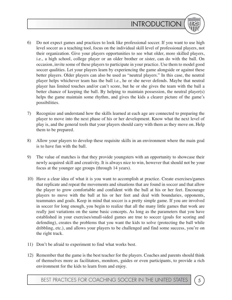

- 6) Do not expect games and practices to look like professional soccer. If you want to use high level soccer as a teaching tool, focus on the individual skill level of professional players, not their organization. Give your players opportunities to see what older, more skilled players, i.e., a high school, college player or an older brother or sister, can do with the ball. On occasion, invite some of these players to participate in your practice. Use them to model good soccer qualities. Let your players learn by experiencing the game alongside or against these better players. Older players can also be used as "neutral players." In this case, the neutral player helps whichever team has the ball i.e., he or she never defends. Maybe that neutral player has limited touches and/or can't score, but he or she gives the team with the ball a better chance of keeping the ball. By helping to maintain possession, the neutral player(s) helps the game maintain some rhythm, and gives the kids a clearer picture of the game's possibilities.
- 7) Recognize and understand how the skills learned at each age are connected to preparing the player to move into the next phase of his or her development. Know what the next level of play is, and the general tools that your players should carry with them as they move on. Help them to be prepared.
- 8) Allow your players to develop these requisite skills in an environment where the main goal is to have fun with the ball.
- 9) The value of matches is that they provide youngsters with an opportunity to showcase their newly acquired skill and creativity. It is always nice to win, however that should not be your focus at the younger age groups (through 14 years).
- 10) Have a clear idea of what it is you want to accomplish at practice. Create exercises/games that replicate and repeat the movements and situations that are found in soccer and that allow the player to grow comfortable and confident with the ball at his or her feet. Encourage players to move with the ball at his or her feet and deal with boundaries, opponents, teammates and goals. Keep in mind that soccer is a pretty simple game. If you are involved in soccer for long enough, you begin to realize that all the many little games that work are really just variations on the same basic concepts. As long as the parameters that you have established in your exercises/small-sided games are true to soccer (goals for scoring and defending), creates the problems that you want the kids to solve (protecting the ball while dribbling, etc.), and allows your players to be challenged and find some success, you're on the right track.
- 11) Don't be afraid to experiment to find what works best.
- 12) Remember that the game is the best teacher for the players. Coaches and parents should think of themselves more as facilitators, monitors, guides or even participants, to provide a rich environment for the kids to learn from and enjoy.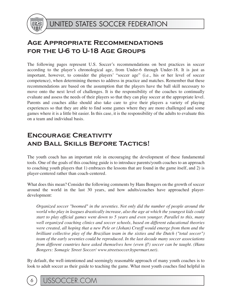

## **Age Appropriate Recommendations for the U-6 to U-18 Age Groups**

The following pages represent U.S. Soccer's recommendations on best practices in soccer according to the player's chronological age, from Under-6 through Under-18. It is just as important, however, to consider the players' "soccer age" (i.e., his or her level of soccer competence), when determining themes to address in practice and matches. Remember that these recommendations are based on the assumption that the players have the ball skill necessary to move onto the next level of challenges. It is the responsibility of the coaches to continually evaluate and assess the needs of their players so that they can play soccer at the appropriate level. Parents and coaches alike should also take care to give their players a variety of playing experiences so that they are able to find some games where they are more challenged and some games where it is a little bit easier. In this case, it is the responsibility of the adults to evaluate this on a team and individual basis.

## **Encourage Creativity and Ball Skills Before Tactics!**

The youth coach has an important role in encouraging the development of these fundamental tools. One of the goals of this coaching guide is to introduce parents/youth coaches to an approach to coaching youth players that 1) embraces the lessons that are found in the game itself, and 2) is player-centered rather than coach-centered.

What does this mean? Consider the following comments by Hans Bongers on the growth of soccer around the world in the last 30 years, and how adults/coaches have approached playerdevelopment:

*Organized soccer "boomed" in the seventies. Not only did the number of people around the world who play in leagues drastically increase, also the age at which the youngest kids could start to play official games went down to 5 years and even younger. Parallel to this, many well organized coaching clinics and soccer schools, based on different educational theories were created, all hoping that a new Pele or (Johan) Cruyff would emerge from them and the brilliant collective play of the Brazilian team in the sixties and the Dutch ("total soccer") team of the early seventies could be reproduced. In the last decade many soccer associations from different countries have asked themselves how (even if!) soccer can be taught. (Hans Bongers: Somagic Street Soccer/ www.streetsoccer.hypermart.net).*

By default, the well-intentioned and seemingly reasonable approach of many youth coaches is to look to adult soccer as their guide to teaching the game. What most youth coaches find helpful in

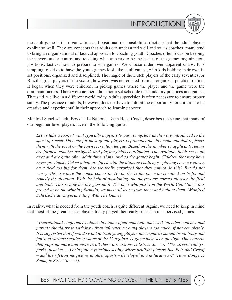## **INTRODUCTION**

**IAS** 

the adult game is the organization and positional responsibilities (tactics) that the adult players exhibit so well. They are concepts that adults can understand well and so, as coaches, many tend to bring an organizational or tactical approach to coaching youth. Coaches often focus on keeping the players under control and teaching what appears to be the basics of the game: organization, positions, tactics, how to prepare to win games. We choose order over apparent chaos. It is tempting to strive to have the youth games look like adult games, with kids holding their own in set positions, organized and disciplined. The magic of the Dutch players of the early seventies, or Brazil's great players of the sixties, however, was not created from an organized practice routine. It began when they were children, in pickup games where the player and the game were the dominant factors. There were neither adults nor a set schedule of mandatory practices and games. That said, we live in a different world today. Adult supervision is often necessary to ensure proper safety. The presence of adults, however, does not have to inhibit the opportunity for children to be creative and experimental in their approach to learning soccer.

Manfred Schellscheidt, Boys U-14 National Team Head Coach, describes the scene that many of our beginner level players face in the following quote:

*Let us take a look at what typically happens to our youngsters as they are introduced to the sport of soccer. Day one for most of our players is probably the day mom and dad registers them with the local or the town recreation league. Based on the number of applicants, teams are formed, coaches assigned, and playing fields coordinated. The available fields serve all ages and are quite often adult dimensions. And so the games begin. Children that may have never previously kicked a ball are faced with the ultimate challenge - playing eleven v eleven on a field too big for them. Are we really surprised that they cannot do this? But do not worry; this is where the coach comes in. He or she is the one who is called on to fix and remedy the situation. With the help of positioning, the players are spread all over the field and told, 'This is how the big guys do it. The ones who just won the World Cup.' Since this proved to be the winning formula, we must all learn from them and imitate them. (Manfred Schellscheidt: Experimenting With The Game).*

In reality, what is needed from the youth coach is quite different. Again, we need to keep in mind that most of the great soccer players today played their early soccer in unsupervised games.

*"International conferences about this topic often conclude that well-intended coaches and parents should try to withdraw from influencing young players too much, if not completely. It is suggested that if you do want to train young players the emphasis should be on 'play and fun'and various smaller versions of the 11-against-11 game have seen the light. One concept that pops up more and more in all these discussions is 'Street Soccer.' 'The streets' (alleys, parks, beaches ... ) being the mysterious setting where brilliant players like Pele and Cruyff – and their fellow magicians in other sports – developed in a natural way." (Hans Bongers: Somagic Street Soccer).*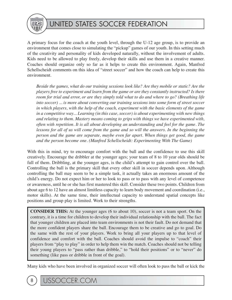A primary focus for the coach at the youth level, through the U-12 age group, is to provide an environment that comes close to simulating the "pickup" games of our youth. In this setting much of the creativity and personality of kids developed naturally, without the involvement of adults. Kids need to be allowed to play freely, develop their skills and use them in a creative manner. Coaches should organize only so far as it helps to create this environment. Again, Manfred Schellscheidt comments on this idea of "street soccer" and how the coach can help to create this environment.

*Beside the games, what do our training sessions look like? Are they mobile or static? Are the players free to experiment and learn from the game or are they constantly instructed? Is there room for trial and error, or are they simply told what to do and where to go? (Breathing life into soccer) ... is more about converting our training sessions into some form of street soccer in which players, with the help of the coach, experiment with the basic elements of the game in a competitive way... Learning (in this case, soccer) is about experimenting with new things and relating to them. Mastery means coming to grips with things we have experimented with, often with repetition. It is all about developing an understanding and feel for the game. The lessons for all of us will come from the game and so will the answers. In the beginning the person and the game are separate, maybe even far apart. When things get good, the game and the person become one. (Manfred Schellscheidt: Experimenting With The Game)*

With this in mind, try to encourage comfort with the ball and the confidence to use this skill creatively. Encourage the dribbler at the younger ages; your team of 8 to 10 year olds should be full of them. Dribbling, at the younger ages, is the child's attempt to gain control over the ball. Controlling the ball is the primary skill that every other skill in soccer depends upon. Although controlling the ball may seem to be a simple task, it actually takes an enormous amount of the child's energy. Do not expect him or her to look to pass or to pass with any level of competence or awareness, until he or she has first mastered this skill. Consider these two points. Children from about age 6 to 12 have an almost limitless capacity to learn body movement and coordination (i.e., motor skills). At the same time, their intellectual capacity to understand spatial concepts like positions and group play is limited. Work to their strengths.

**CONSIDER THIS:** At the younger ages (6 to about 10), soccer is not a team sport. On the contrary, it is a time for children to develop their individual relationship with the ball. The fact that younger children are placed into team environments is not their fault. Do not demand that the more confident players share the ball. Encourage them to be creative and go to goal. Do the same with the rest of your players. Work to bring all your players up to that level of confidence and comfort with the ball. Coaches should avoid the impulse to "coach" their players from "play to play" in order to help them win the match. Coaches should not be telling their young players to "pass rather than dribble," to "hold their positions" or to "never" do something (like pass or dribble in front of the goal).

Many kids who have been involved in organized soccer will often look to pass the ball or kick the

USSOCCER.COM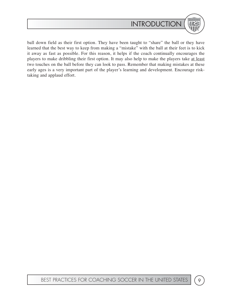

ball down field as their first option. They have been taught to "share" the ball or they have learned that the best way to keep from making a "mistake" with the ball at their feet is to kick it away as fast as possible. For this reason, it helps if the coach continually encourages the players to make dribbling their first option. It may also help to make the players take at least two touches on the ball before they can look to pass. Remember that making mistakes at these early ages is a very important part of the player's learning and development. Encourage risktaking and applaud effort.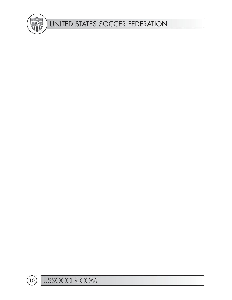

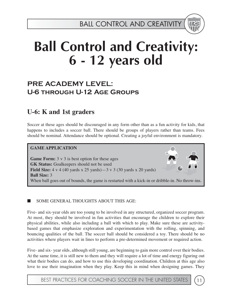# **Ball Control and Creativity: 6 - 12 years old**

## **PRE ACADEMY LEVEL: U-6 through U-12 Age Groups**

## **U-6: K and 1st graders**

Soccer at these ages should be discouraged in any form other than as a fun activity for kids, that happens to includes a soccer ball. There should be groups of players rather than teams. Fees should be nominal. Attendance should be optional. Creating a joyful environment is mandatory.

## **GAME APPLICATION**

**Game Form:** 3 v 3 is best option for these ages **GK Status:** Goalkeepers should not be used **Field Size:** 4 v 4 (40 yards x 25 yards) — 3 v 3 (30 yards x 20 yards) **Ball Size:** 3 When ball goes out of bounds, the game is restarted with a kick-in or dribble-in. No throw-ins.

## SOME GENERAL THOUGHTS ABOUT THIS AGE:

Five- and six-year olds are too young to be involved in any structured, organized soccer program. At most, they should be involved in fun activities that encourage the children to explore their physical abilities, while also including a ball with which to play. Make sure these are activitybased games that emphasize exploration and experimentation with the rolling, spinning, and bouncing qualities of the ball. The soccer ball should be considered a toy. There should be no activities where players wait in lines to perform a pre-determined movement or required action.

Five- and six- year olds, although still young, are beginning to gain more control over their bodies. At the same time, it is still new to them and they will require a lot of time and energy figuring out what their bodies can do, and how to use this developing coordination. Children at this age also love to use their imagination when they play. Keep this in mind when designing games. They



**INGER**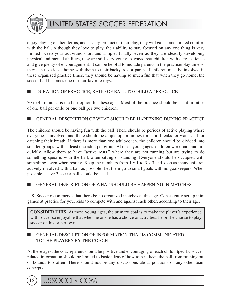

enjoy playing on their terms, and as a by-product of their play, they will gain some limited comfort with the ball. Although they love to play, their ability to stay focused on any one thing is very limited. Keep your activities short and simple. Finally, even as they are steadily developing physical and mental abilities, they are still very young. Always treat children with care, patience and give plenty of encouragement. It can be helpful to include parents in the practice/play time so they can take ideas home with them to their backyards or parks. If children must be involved in these organized practice times, they should be having so much fun that when they go home, the soccer ball becomes one of their favorite toys.

#### ■ DURATION OF PRACTICE; RATIO OF BALL TO CHILD AT PRACTICE

30 to 45 minutes is the best option for these ages. Most of the practice should be spent in ratios of one ball per child or one ball per two children.

#### GENERAL DESCRIPTION OF WHAT SHOULD BE HAPPENING DURING PRACTICE

The children should be having fun with the ball. There should be periods of active playing where everyone is involved, and there should be ample opportunities for short breaks for water and for catching their breath. If there is more than one adult/coach, the children should be divided into smaller groups, with at least one adult per group. At these young ages, children work hard and tire quickly. Allow them to have "active rests," where they are not running but are trying to do something specific with the ball, often sitting or standing. Everyone should be occupied with something, even when resting. Keep the numbers from 1 v 1 to 3 v 3 and keep as many children actively involved with a ball as possible. Let them go to small goals with no goalkeepers. When possible, a size 3 soccer ball should be used.

## GENERAL DESCRIPTION OF WHAT SHOULD BE HAPPENING IN MATCHES

U.S. Soccer recommends that there be no organized matches at this age. Consistently set up mini games at practice for your kids to compete with and against each other, according to their age.

**CONSIDER THIS:** At these young ages, the primary goal is to make the player's experience with soccer so enjoyable that when he or she has a choice of activities, he or she choose to play soccer on his or her own.

## ■ GENERAL DESCRIPTION OF INFORMATION THAT IS COMMUNICATED TO THE PLAYERS BY THE COACH

At these ages, the coach/parent should be positive and encouraging of each child. Specific soccerrelated information should be limited to basic ideas of how to best keep the ball from running out of bounds too often. There should not be any discussions about positions or any other team concepts.



<sup>12</sup> USSOCCER.COM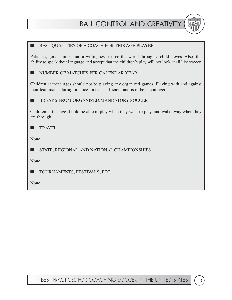## BALL CONTROL AND CREATIVITY

| BEST QUALITIES OF A COACH FOR THIS AGE PLAYER                                                                                                                                                       |  |  |  |
|-----------------------------------------------------------------------------------------------------------------------------------------------------------------------------------------------------|--|--|--|
| Patience, good humor, and a willingness to see the world through a child's eyes. Also, the<br>ability to speak their language and accept that the children's play will not look at all like soccer. |  |  |  |
| NUMBER OF MATCHES PER CALENDAR YEAR                                                                                                                                                                 |  |  |  |
| Children at these ages should not be playing any organized games. Playing with and against<br>their teammates during practice times is sufficient and is to be encouraged.                          |  |  |  |
| BREAKS FROM ORGANIZED/MANDATORY SOCCER                                                                                                                                                              |  |  |  |
| Children at this age should be able to play when they want to play, and walk away when they<br>are through.                                                                                         |  |  |  |
| <b>TRAVEL</b>                                                                                                                                                                                       |  |  |  |
| None.                                                                                                                                                                                               |  |  |  |
| STATE, REGIONAL AND NATIONAL CHAMPIONSHIPS                                                                                                                                                          |  |  |  |
| None.                                                                                                                                                                                               |  |  |  |
| TOURNAMENTS, FESTIVALS, ETC.                                                                                                                                                                        |  |  |  |
| None.                                                                                                                                                                                               |  |  |  |

US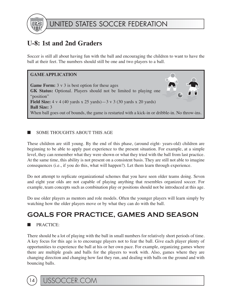

## **U-8: 1st and 2nd Graders**

Soccer is still all about having fun with the ball and encouraging the children to want to have the ball at their feet. The numbers should still be one and two players to a ball.

#### **GAME APPLICATION**

**Game Form:** 3 v 3 is best option for these ages **GK Status:** Optional. Players should not be limited to playing one "position" **Field Size:** 4 v 4 (40 yards x 25 yards) — 3 v 3 (30 yards x 20 yards) **Ball Size:** 3 When ball goes out of bounds, the game is restarted with a kick-in or dribble-in. No throw-ins.

#### SOME THOUGHTS ABOUT THIS AGE

These children are still young. By the end of this phase, (around eight- years-old) children are beginning to be able to apply past experience to the present situation. For example, at a simple level, they can remember what they were shown or what they tried with the ball from last practice. At the same time, this ability is not present on a consistent basis. They are still not able to imagine consequences (i.e., if you do this, what will happen?). Let them learn through experience.

Do not attempt to replicate organizational schemes that you have seen older teams doing. Seven and eight year olds are not capable of playing anything that resembles organized soccer. For example, team concepts such as combination play or positions should not be introduced at this age.

Do use older players as mentors and role models. Often the younger players will learn simply by watching how the older players move or by what they can do with the ball.

## **GOALS FOR PRACTICE, GAMES AND SEASON**

## PRACTICE:

There should be a lot of playing with the ball in small numbers for relatively short periods of time. A key focus for this age is to encourage players not to fear the ball. Give each player plenty of opportunities to experience the ball at his or her own pace. For example, organizing games where there are multiple goals and balls for the players to work with. Also, games where they are changing direction and changing how fast they run, and dealing with balls on the ground and with bouncing balls.

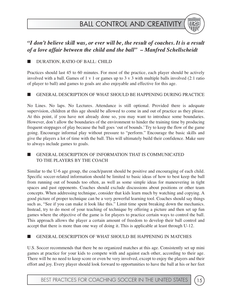## BALL CONTROL AND CREATIVITY

## *"I don't believe skill was, or ever will be, the result of coaches. It is a result of a love affair between the child and the ball" – Manfred Schellscheidt*

#### DURATION, RATIO OF BALL: CHILD

Practices should last 45 to 60 minutes. For most of the practice, each player should be actively involved with a ball. Games of 1 v 1 or games up to 3 v 3 with multiple balls involved (2:1 ratio of player to ball) and games to goals are also enjoyable and effective for this age.

#### GENERAL DESCRIPTION OF WHAT SHOULD BE HAPPENING DURING PRACTICE

No Lines. No laps. No Lectures. Attendance is still optional. Provided there is adequate supervision, children at this age should be allowed to come in and out of practice as they please. At this point, if you have not already done so, you may want to introduce some boundaries. However, don't allow the boundaries of the environment to hinder the training time by producing frequent stoppages of play because the ball goes 'out of bounds.' Try to keep the flow of the game going. Encourage informal play without pressure to "perform." Encourage the basic skills and give the players a lot of time with the ball. This will ultimately build their confidence. Make sure to always include games to goals.

#### GENERAL DESCRIPTION OF INFORMATION THAT IS COMMUNICATED TO THE PLAYERS BY THE COACH

Similar to the U-6 age group, the coach/parent should be positive and encouraging of each child. Specific soccer-related information should be limited to basic ideas of how to best keep the ball from running out of bounds too often, as well as some simple ideas for maneuvering in tight spaces and past opponents. Coaches should exclude discussions about positions or other team concepts. When addressing technique, consider that kids learn much by watching and copying. A good picture of proper technique can be a very powerful learning tool. Coaches should say things such as, "See if you can make it look like this." Limit time spent breaking down the mechanics. Instead, try to do most of your teaching of technique by offering a picture and then set up fun games where the objective of the game is for players to practice certain ways to control the ball. This approach allows the player a certain amount of freedom to develop their ball control and accept that there is more than one way of doing it. This is applicable at least through U-12.

#### GENERAL DESCRIPTION OF WHAT SHOULD BE HAPPENING IN MATCHES

U.S. Soccer recommends that there be no organized matches at this age. Consistently set up mini games at practice for your kids to compete with and against each other, according to their age. There will be no need to keep score or even be very involved, except to enjoy the players and their effort and joy. Every player should look forward to opportunities to have the ball at his or her feet

**IRSE**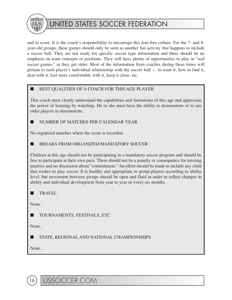

and to score. It is the coach's responsibility to encourage this fear-free culture. For the 7- and 8 year-old groups, these games should only be seen as another fun activity that happens to include a soccer ball. They are not ready for specific soccer type information and there should be no emphasis on team concepts or positions. They will have plenty of opportunities to play in "real soccer games," as they get older. Most of the information from coaches during these times will pertain to each player's individual relationship with the soccer ball — to want it, how to find it, deal with it, feel more comfortable with it, keep it close, etc.

#### BEST QUALITIES OF A COACH FOR THIS AGE PLAYER

This coach must clearly understand the capabilities and limitations of this age and appreciate the power of learning by watching. He or she must have the ability to demonstrate or to use older players to demonstrate.

NUMBER OF MATCHES PER CALENDAR YEAR

No organized matches where the score is recorded.

BREAKS FROM ORGANIZED/MANDATORY SOCCER

Children at this age should not be participating in a mandatory soccer program and should be free to participate at their own pace. There should not be a penalty or consequence for missing practice and no discussion about "commitment." An effort should be made to include any child that wishes to play soccer. It is healthy and appropriate to group players according to ability level, but movement between groups should be open and fluid in order to reflect changes in ability and individual development from year to year or every six months.

TRAVEL.

None.

TOURNAMENTS, FESTIVALS, ETC

None.

STATE, REGIONAL AND NATIONAL CHAMPIONSHIPS

None.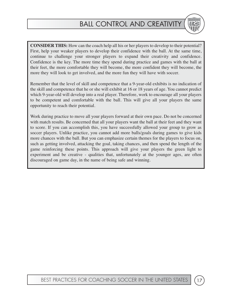## BALL CONTROL AND CREATIVITY

**CONSIDER THIS:** How can the coach help all his or her players to develop to their potential? First, help your weaker players to develop their confidence with the ball. At the same time, continue to challenge your stronger players to expand their creativity and confidence. Confidence is the key. The more time they spend during practice and games with the ball at their feet, the more comfortable they will become, the more confident they will become, the more they will look to get involved, and the more fun they will have with soccer.

Remember that the level of skill and competence that a 9-year-old exhibits is no indication of the skill and competence that he or she will exhibit at 16 or 18 years of age. You cannot predict which 9-year-old will develop into a real player. Therefore, work to encourage all your players to be competent and comfortable with the ball. This will give all your players the same opportunity to reach their potential.

Work during practice to move all your players forward at their own pace. Do not be concerned with match results. Be concerned that all your players want the ball at their feet and they want to score. If you can accomplish this, you have successfully allowed your group to grow as soccer players. Unlike practice, you cannot add more balls/goals during games to give kids more chances with the ball. But you can emphasize certain themes for the players to focus on, such as getting involved, attacking the goal, taking chances, and then spend the length of the game reinforcing these points. This approach will give your players the green light to experiment and be creative - qualities that, unfortunately at the younger ages, are often discouraged on game day, in the name of being safe and winning.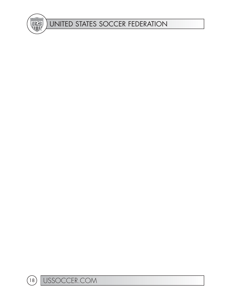

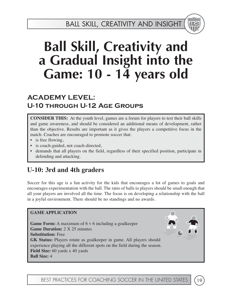# **Ball Skill, Creativity and a Gradual Insight into the Game: 10 - 14 years old**

## **ACADEMY LEVEL: U-10 through U-12 Age Groups**

**CONSIDER THIS:** At the youth level, games are a forum for players to test their ball skills and game awareness, and should be considered an additional means of development, rather than the objective. Results are important as it gives the players a competitive focus in the match. Coaches are encouraged to promote soccer that:

- is free flowing,
- is coach-guided, not coach-directed,
- demands that all players on the field, regardless of their specified position, participate in defending and attacking.

## **U-10: 3rd and 4th graders**

Soccer for this age is a fun activity for the kids that encourages a lot of games to goals and encourages experimentation with the ball. The ratio of balls to players should be small enough that all your players are involved all the time. The focus is on developing a relationship with the ball in a joyful environment. There should be no standings and no awards.

## **GAME APPLICATION**

**Game Form:** A maximum of 6 v 6 including a goalkeeper **Game Duration:** 2 X 25 minutes **Substitution:** Free **GK Status:** Players rotate as goalkeeper in game. All players should experience playing all the different spots on the field during the season. **Field Size:** 60 yards x 40 yards **Ball Size:** 4

**LIGO**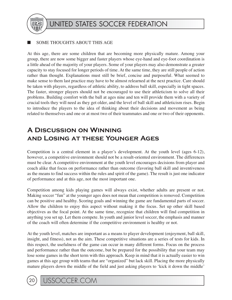

#### SOME THOUGHTS ABOUT THIS AGE

At this age, there are some children that are becoming more physically mature. Among your group, there are now some bigger and faster players whose eye-hand and eye-foot coordination is a little ahead of the majority of your players. Some of your players may also demonstrate a greater capacity to stay focused for longer periods of time. At the same time, they are still people of action rather than thought. Explanations must still be brief, concise and purposeful. What seemed to make sense to them last practice may have to be almost relearned at the next practice. Care should be taken with players, regardless of athletic ability, to address ball skill, especially in tight spaces. The faster, stronger players should not be encouraged to use their athleticism to solve all their problems. Building comfort with the ball at ages nine and ten will provide them with a variety of crucial tools they will need as they get older, and the level of ball skill and athleticism rises. Begin to introduce the players to the idea of thinking about their decisions and movement as being related to themselves and one or at most two of their teammates and one or two of their opponents.

## **A Discussion on Winning and Losing at these Younger Ages**

Competition is a central element in a player's development. At the youth level (ages 6-12), however, a competitive environment should not be a result-oriented environment. The differences must be clear. A competitive environment at the youth level encourages decisions from player and coach alike that focus on performance rather than outcome (favoring ball skill and inventiveness as the means to find success within the rules and spirit of the game). The result is just one indicator of performance and at this age, not the most important one.

Competition among kids playing games will always exist, whether adults are present or not. Making soccer "fun" at the younger ages does not mean that competition is removed. Competition can be positive and healthy. Scoring goals and winning the game are fundamental parts of soccer. Allow the children to enjoy this aspect without making it the focus. Set up other skill based objectives as the focal point. At the same time, recognize that children will find competition in anything you set up. Let them compete. In youth and junior level soccer, the emphasis and manner of the coach will often determine if the competitive environment is healthy or not.

At the youth level, matches are important as a means to player development (enjoyment, ball skill, insight, and fitness), not as the aim. These competitive situations are a series of tests for kids. In this respect, the usefulness of the game can occur in many different forms. Focus on the process and performance rather than the outcome, but be prepared for the possibility that your team may lose some games in the short term with this approach. Keep in mind that it is actually easier to win games at this age group with teams that are "organized" but lack skill. Placing the more physically mature players down the middle of the field and just asking players to 'kick it down the middle'



<sup>20</sup> USSOCCER.COM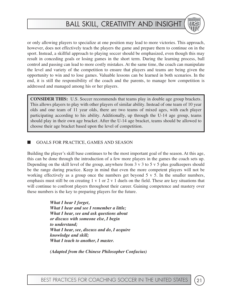## BALL SKILL, CREATIVITY AND INSIGHT

or only allowing players to specialize at one position may lead to more victories. This approach, however, does not effectively teach the players the game and prepare them to continue on in the sport. Instead, a skillful approach to playing soccer should be emphasized, even though this may result in conceding goals or losing games in the short term. During the learning process, ball control and passing can lead to more costly mistakes. At the same time, the coach can manipulate the level and variety of the competition to ensure that players and teams are being given the opportunity to win and to lose games. Valuable lessons can be learned in both scenarios. In the end, it is still the responsibility of the coach and the parents, to manage how competition is addressed and managed among his or her players.

**CONSIDER THIS:** U.S. Soccer recommends that teams play in double age group brackets. This allows players to play with other players of similar ability. Instead of one team of 10 year olds and one team of 11 year olds, there are two teams of mixed ages, with each player participating according to his ability. Additionally, up through the U-14 age group, teams should play in their own age bracket. After the U-14 age bracket, teams should be allowed to choose their age bracket based upon the level of competition.

#### GOALS FOR PRACTICE, GAMES AND SEASON

Building the player's skill base continues to be the most important goal of the season. At this age, this can be done through the introduction of a few more players in the games the coach sets up. Depending on the skill level of the group, anywhere from 3 v 3 to 5 v 5 plus goalkeepers should be the range during practice. Keep in mind that even the more competent players will not be working effectively as a group once the numbers get beyond 5 v 5. In the smaller numbers, emphasis must still be on creating 1 v 1 or 2 v 1 duels on the field. These are key situations that will continue to confront players throughout their career. Gaining competence and mastery over these numbers is the key to preparing players for the future.

> *What I hear I forget, What I hear and see I remember a little; What I hear, see and ask questions about or discuss with someone else, I begin to understand; What I hear, see, discuss and do, I acquire knowledge and skill; What I teach to another, I master.*

*(Adapted from the Chinese Philosopher Confucius)*

**INST**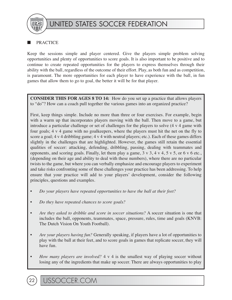## **PRACTICE**

Keep the sessions simple and player centered. Give the players simple problem solving opportunities and plenty of opportunities to score goals. It is also important to be positive and to continue to create repeated opportunities for the players to express themselves through their ability with the ball, regardless of the outcome of their effort. Play, as both fun and as competition, is paramount. The more opportunities for each player to have experience with the ball, in fun games that allow them to go to goal, the better it will be for that player.

**CONSIDER THIS FOR AGES 8 TO 14:** How do you set up a practice that allows players to "do"? How can a coach pull together the various games into an organized practice?

First, keep things simple. Include no more than three or four exercises. For example, begin with a warm up that incorporates players moving with the ball. Then move to a game, but introduce a particular challenge or set of challenges for the players to solve (4 v 4 game with four goals; 4 v 4 game with no goalkeepers, where the players must hit the net on the fly to score a goal; 4 v 4 dribbling game; 4 v 4 with neutral players; etc.). Each of these games differs slightly in the challenges that are highlighted. However, the games still retain the essential qualities of soccer: attacking, defending, dribbling, passing, dealing with teammates and opponents, and scoring goals. Finally, let them play a game, 3 v 3, 4 v 4, 5 v 5, or 6 v 6 etc., (depending on their age and ability to deal with these numbers), where there are no particular twists to the game, but where you can verbally emphasize and encourage players to experiment and take risks confronting some of these challenges your practice has been addressing. To help ensure that your practice will add to your players' development, consider the following principles, questions and examples.

- *Do your players have repeated opportunities to have the ball at their feet?*
- *Do they have repeated chances to score goals?*
- *Are they asked to dribble and score in soccer situations?* A soccer situation is one that includes the ball, opponents, teammates, space, pressure, rules, time and goals (KNVB: The Dutch Vision On Youth Football).
- *Are your players having fun?* Generally speaking, if players have a lot of opportunities to play with the ball at their feet, and to score goals in games that replicate soccer, they will have fun.
- *How many players are involved?* 4 v 4 is the smallest way of playing soccer without losing any of the ingredients that make up soccer. There are always opportunities to play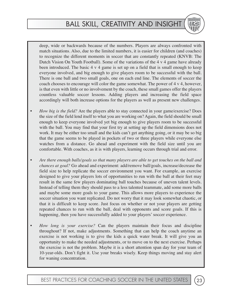## BALL SKILL, CREATIVITY AND INSIGHT

deep, wide or backwards because of the numbers. Players are always confronted with match situations. Also, due to the limited numbers, it is easier for children (and coaches) to recognize the different moments in soccer that are constantly repeated (KNVB: The Dutch Vision On Youth Football). Some of the variations of the 4 v 4 game have already been introduced. The basic 4 v 4 game is set up on a field that is small enough to keep everyone involved, and big enough to give players room to be successful with the ball. There is one ball and two small goals, one on each end line. The elements of soccer the coach chooses to encourage will color the game somewhat. The power of 4 v 4, however, is that even with little or no involvement by the coach, these small games offer the players countless valuable soccer lessons. Adding players and increasing the field space accordingly will both increase options for the players as well as present new challenges.

- *How big is the field?* Are the players able to stay connected in your game/exercise? Does the size of the field lend itself to what you are working on? Again, the field should be small enough to keep everyone involved yet big enough to give players room to be successful with the ball. You may find that your first try at setting up the field dimensions does not work. It may be either too small and the kids can't get anything going, or it may be so big that the game seems to be played in pockets of two or three players while everyone else watches from a distance. Go ahead and experiment with the field size until you are comfortable. With coaches, as it is with players, learning occurs through trial and error.
- *Are there enough balls/goals so that many players are able to get touches on the ball and chances at goal?* Go ahead and experiment: add/remove ball/goals, increase/decrease the field size to help replicate the soccer environment you want. For example, an exercise designed to give your players lots of opportunities to run with the ball at their feet may result in the same few players dominating ball touches because of uneven talent levels. Instead of telling them they should pass to a less talented teammate, add some more balls and maybe some more goals to your game. This allows more players to experience the soccer situation you want replicated. Do not worry that it may look somewhat chaotic, or that it is difficult to keep score. Just focus on whether or not your players are getting repeated chances to run with the ball, deal with opponents and score goals. If this is happening, then you have successfully added to your players' soccer experience.
- *How long is your exercise?* Can the players maintain their focus and discipline throughout? If not, make adjustments. Something that can help the coach anytime an exercise is not working is to give the kids a quick water break. It will give you an opportunity to make the needed adjustments, or to move on to the next exercise. Perhaps the exercise is not the problem. Maybe it is a short attention span day for your team of 10-year-olds. Don't fight it. Use your breaks wisely. Keep things moving and stay alert for waning concentration.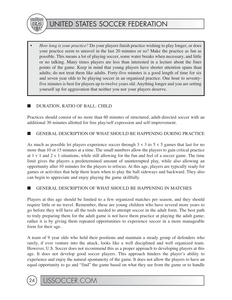

• *How long is your practice?* Do your players finish practice wishing to play longer, or does your practice seem to unravel in the last 20 minutes or so? Make the practice as fun as possible. This means a lot of playing soccer, some water breaks when necessary, and little or no talking. Many times players are less than interested in a lecture about the finer points of the game. Keep in mind that young players have shorter attention spans than adults; do not treat them like adults. Forty-five minutes is a good length of time for six and seven year olds to be playing soccer in an organized practice. One hour to seventyfive minutes is best for players up to twelve years old. Anything longer and you are setting yourself up for aggravation that neither you nor your players deserve.

#### DURATION, RATIO OF BALL: CHILD

Practices should consist of no more than 60 minutes of structured, adult-directed soccer with an additional 30 minutes allotted for free play/self expression and self-improvement.

GENERAL DESCRIPTION OF WHAT SHOULD BE HAPPENING DURING PRACTICE

As much as possible let players experience soccer through 3 v 3 to 5 v 5 games that last for no more than 10 or 15 minutes at a time. The small numbers allow the players to gain critical practice at 1 v 1 and 2 v 1 situations, while still allowing for the fun and feel of a soccer game. The time limit gives the players a predetermined amount of uninterrupted play, while also allowing an opportunity after 10 minutes for the players to refocus. At this age, players are typically ready for games or activities that help them learn when to play the ball sideways and backward. They also can begin to appreciate and enjoy playing the game skillfully.

#### GENERAL DESCRIPTION OF WHAT SHOULD BE HAPPENING IN MATCHES

Players at this age should be limited to a few organized matches per season, and they should require little or no travel. Remember, these are young children who have several more years to go before they will have all the tools needed to attempt soccer in the adult form. The best path to truly preparing them for the adult game is not have them practice at playing the adult game; rather it is by giving them repeated opportunities to experience soccer in a more manageable form for their age.

A team of 9 year olds who hold their positions and maintain a steady group of defenders who rarely, if ever venture into the attack, looks like a well disciplined and well organized team. However, U.S. Soccer does not recommend this as a proper approach to developing players at this age. It does not develop good soccer players. This approach hinders the player's ability to experience and enjoy the natural spontaneity of the game. It does not allow the players to have an equal opportunity to go and "find" the game based on what they see from the game or to handle



USSOCCER.COM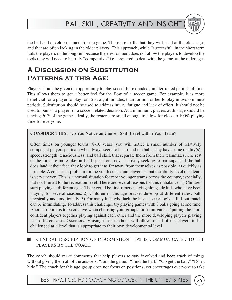## BALL SKILL, CREATIVITY AND INSIGHT

the ball and develop instincts for the game. These are skills that they will need at the older ages and that are often lacking in the older players. This approach, while "successful" in the short term fails the players in the long run because the environment does not allow the players to develop the tools they will need to be truly "competitive" i.e., prepared to deal with the game, at the older ages

## **A Discussion on Substitution Patterns at this Age:**

Players should be given the opportunity to play soccer for extended, uninterrupted periods of time. This allows them to get a better feel for the flow of a soccer game. For example, it is more beneficial for a player to play for 12 straight minutes, than for him or her to play in two 6 minute periods. Substitution should be used to address injury, fatigue and lack of effort. It should not be used to punish a player for a soccer-related decision. At a minimum, players at this age should be playing 50% of the game. Ideally, the rosters are small enough to allow for close to 100% playing time for everyone.

**CONSIDER THIS:** Do You Notice an Uneven Skill Level within Your Team?

Often times on younger teams (8-10 years) you will notice a small number of relatively competent players per team who always seem to be around the ball. They have some quality(s), speed, strength, tenaciousness, and ball skill, that separate them from their teammates. The rest of the kids are more like on-field spectators, never actively seeking to participate. If the ball does land at their feet, they look to get it as far away from themselves as possible, as quickly as possible. A consistent problem for the youth coach and players is that the ability level on a team is very uneven. This is a normal situation for most younger teams across the country, especially, but not limited to the recreation level. There are several reasons for this imbalance: 1) Children start playing at different ages. There could be first-timers playing alongside kids who have been playing for several seasons. 2) Children in this age bracket develop at different rates, both physically and emotionally. 3) For many kids who lack the basic soccer tools, a full-out match can be intimidating. To address this challenge, try playing games with 3 balls going at one time. Another option is to be creative when choosing your groups for 'mini-games,' putting the more confident players together playing against each other and the more developing players playing in a different area. Occasionally using these methods will allow for all of the players to be challenged at a level that is appropriate to their own developmental level.

## ■ GENERAL DESCRIPTION OF INFORMATION THAT IS COMMUNICATED TO THE PLAYERS BY THE COACH

The coach should make comments that help players to stay involved and keep track of things without giving them all of the answers: "Join the game," "Find the ball," "Go get the ball," "Don't hide." The coach for this age group does not focus on positions, yet encourages everyone to take



**IRSE**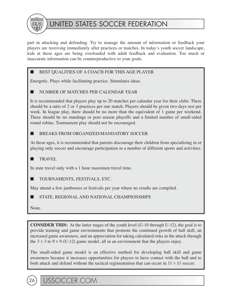

part in attacking and defending. Try to manage the amount of information or feedback your players are receiving immediately after practices or matches. In today's youth soccer landscape, kids at these ages are being overloaded with adult feedback and evaluation. Too much or inaccurate information can be counterproductive to your goals.

#### BEST QUALITIES OF A COACH FOR THIS AGE PLAYER

Energetic. Plays while facilitating practice. Stimulates ideas.

#### NUMBER OF MATCHES PER CALENDAR YEAR

It is recommended that players play up to 20 matches per calendar year for their clubs. There should be a ratio of 2 or 3 practices per one match. Players should be given two days rest per week. In league play, there should be no more than the equivalent of 1 game per weekend. There should be no standings or post season playoffs and a limited number of small-sided round robins. Tournament play should not be encouraged.

#### BREAKS FROM ORGANIZED/MANDATORY SOCCER

At these ages, it is recommended that parents discourage their children from specializing in or playing only soccer and encourage participation in a number of different sports and activities.

TRAVEL

In state travel only with a 1 hour maximum travel time.

TOURNAMENTS, FESTIVALS, ETC.

May attend a few jamborees or festivals per year where no results are compiled.

STATE, REGIONAL AND NATIONAL CHAMPIONSHIPS

None.

**CONSIDER THIS:** At the latter stages of the youth level (U-10 through U-12), the goal is to provide training and game environments that promote the continued growth of ball skill, an increased game awareness, and an appreciation for taking calculated risks in the attack through the 3 v 3 to 9 v 9 (U-12) game model, all in an environment that the players enjoy.

The small-sided game model is an effective method for developing ball skill and game awareness because it increases opportunities for players to have contact with the ball and to both attack and defend without the tactical regimentation that can occur in 11 v 11 soccer.

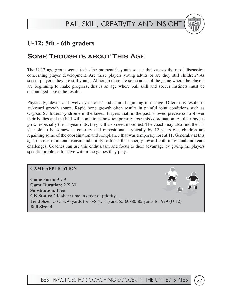## **U-12: 5th - 6th graders**

## **Some Thoughts about This Age**

The U-12 age group seems to be the moment in youth soccer that causes the most discussion concerning player development. Are these players young adults or are they still children? As soccer players, they are still young. Although there are some areas of the game where the players are beginning to make progress, this is an age where ball skill and soccer instincts must be encouraged above the results.

Physically, eleven and twelve year olds' bodies are beginning to change. Often, this results in awkward growth spurts. Rapid bone growth often results in painful joint conditions such as Osgood-Schlotters syndrome in the knees. Players that, in the past, showed precise control over their bodies and the ball will sometimes now temporarily lose this coordination. As their bodies grow, especially the 11-year-olds, they will also need more rest. The coach may also find the 11 year-old to be somewhat contrary and oppositional. Typically by 12 years old, children are regaining some of the coordination and compliance that was temporary lost at 11. Generally at this age, there is more enthusiasm and ability to focus their energy toward both individual and team challenges. Coaches can use this enthusiasm and focus to their advantage by giving the players specific problems to solve within the games they play.

#### **GAME APPLICATION**

**Game Form:** 9 v 9 **Game Duration:** 2 X 30 **Substitution:** Free **GK Status:** GK share time in order of priority **Field Size:** 50-55x70 yards for 8v8 (U-11) and 55-60x80-85 yards for 9v9 (U-12) **Ball Size:** 4



**IKG**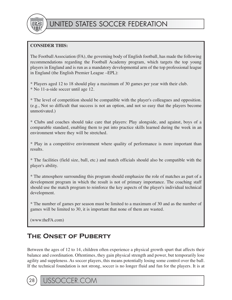

#### **CONSIDER THIS:**

The Football Association (FA), the governing body of English football, has made the following recommendations regarding the Football Academy program, which targets the top young players in England and is run as a mandatory developmental arm of the top professional league in England (the English Premier League –EPL):

\* Players aged 12 to 18 should play a maximum of 30 games per year with their club. \* No 11-a-side soccer until age 12.

\* The level of competition should be compatible with the player's colleagues and opposition. (e.g., Not so difficult that success is not an option, and not so easy that the players become unmotivated.)

\* Clubs and coaches should take care that players: Play alongside, and against, boys of a comparable standard, enabling them to put into practice skills learned during the week in an environment where they will be stretched.

\* Play in a competitive environment where quality of performance is more important than results.

\* The facilities (field size, ball, etc.) and match officials should also be compatible with the player's ability.

\* The atmosphere surrounding this program should emphasize the role of matches as part of a development program in which the result is not of primary importance. The coaching staff should use the match program to reinforce the key aspects of the player's individual technical development.

\* The number of games per season must be limited to a maximum of 30 and as the number of games will be limited to 30, it is important that none of them are wasted.

(www.theFA.com)

## **The Onset of Puberty**

Between the ages of 12 to 14, children often experience a physical growth spurt that affects their balance and coordination. Oftentimes, they gain physical strength and power, but temporarily lose agility and suppleness. As soccer players, this means potentially losing some control over the ball. If the technical foundation is not strong, soccer is no longer fluid and fun for the players. It is at

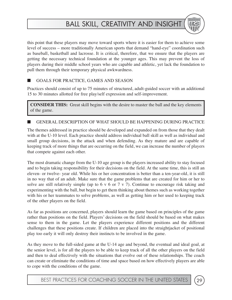## BALL SKILL, CREATIVITY AND INSIGHT

this point that these players may move toward sports where it is easier for them to achieve some level of success – more traditionally American sports that demand "hand-eye" coordination such as baseball, basketball and lacrosse. It is critical, therefore, that we ensure that the players are getting the necessary technical foundation at the younger ages. This may prevent the loss of players during their middle school years who are capable and athletic, yet lack the foundation to pull them through their temporary physical awkwardness.

#### GOALS FOR PRACTICE, GAMES AND SEASON

Practices should consist of up to 75 minutes of structured, adult-guided soccer with an additional 15 to 30 minutes allotted for free play/self expression and self-improvement.

**CONSIDER THIS:** Great skill begins with the desire to master the ball and the key elements of the game.

#### GENERAL DESCRIPTION OF WHAT SHOULD BE HAPPENING DURING PRACTICE

The themes addressed in practice should be developed and expanded on from those that they dealt with at the U-10 level. Each practice should address individual ball skill as well as individual and small group decisions, in the attack and when defending. As they mature and are capable of keeping track of more things that are occurring on the field, we can increase the number of players that compete against each other.

The most dramatic change from the U-10 age group is the players increased ability to stay focused and to begin taking responsibility for their decisions on the field. At the same time, this is still an eleven- or twelve- year old. While his or her concentration is better than a ten-year-old, it is still in no way that of an adult. Make sure that the game problems that are created for him or her to solve are still relatively simple (up to 6 v 6 or 7 v 7). Continue to encourage risk taking and experimenting with the ball, but begin to get them thinking about themes such as working together with his or her teammates to solve problems, as well as getting him or her used to keeping track of the other players on the field.

As far as positions are concerned, players should learn the game based on principles of the game rather than positions on the field. Players' decisions on the field should be based on what makes sense to them in the game. Let the players experience different positions and the different challenges that these positions create. If children are placed into the straightjacket of positional play too early it will only destroy their instincts to be involved in the game.

As they move to the full-sided game at the U-14 age and beyond, the eventual and ideal goal, at the senior level, is for all the players to be able to keep track of all the other players on the field and then to deal effectively with the situations that evolve out of these relationships. The coach can create or eliminate the conditions of time and space based on how effectively players are able to cope with the conditions of the game.

**IRSE**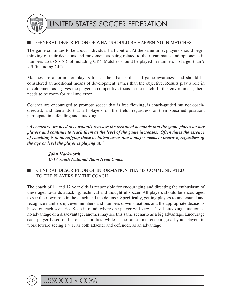

#### GENERAL DESCRIPTION OF WHAT SHOULD BE HAPPENING IN MATCHES

The game continues to be about individual ball control. At the same time, players should begin thinking of their decisions and movement as being related to their teammates and opponents in numbers up to 8 v 8 (not including GK). Matches should be played in numbers no larger than 9 v 9 (including GK).

Matches are a forum for players to test their ball skills and game awareness and should be considered an additional means of development, rather than the objective. Results play a role in development as it gives the players a competitive focus in the match. In this environment, there needs to be room for trial and error.

Coaches are encouraged to promote soccer that is free flowing, is coach-guided but not coachdirected, and demands that all players on the field, regardless of their specified position, participate in defending and attacking.

*"As coaches, we need to constantly reassess the technical demands that the game places on our players and continue to teach them as the level of the game increases. Often times the essence of coaching is in identifying those technical areas that a player needs to improve, regardless of the age or level the player is playing at."*

> *John Hackworth U-17 Youth National Team Head Coach*

#### ■ GENERAL DESCRIPTION OF INFORMATION THAT IS COMMUNICATED TO THE PLAYERS BY THE COACH

The coach of 11 and 12 year olds is responsible for encouraging and directing the enthusiasm of these ages towards attacking, technical and thoughtful soccer. All players should be encouraged to see their own role in the attack and the defense. Specifically, getting players to understand and recognize numbers up, even numbers and numbers down situations and the appropriate decisions based on each scenario. Keep in mind, where one player will view a 1 v 1 attacking situation as no advantage or a disadvantage, another may see this same scenario as a big advantage. Encourage each player based on his or her abilities, while at the same time, encourage all your players to work toward seeing 1 v 1, as both attacker and defender, as an advantage.

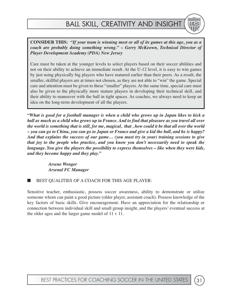## BALL SKILL, CREATIVITY AND INSIGHT

**CONSIDER THIS:** *"If your team is winning most or all of its games at this age, you as a coach are probably doing something wrong." – Gerry McKeown, Technical Director of Player Development Academy (PDA) New Jersey*

Care must be taken at the younger levels to select players based on their soccer abilities and not on their ability to achieve an immediate result. At the U-12 level, it is easy to win games by just using physically big players who have matured earlier than their peers. As a result, the smaller, skillful players are at times not chosen, as they are not able to "win" the game. Special care and attention must be given to these "smaller" players. At the same time, special care must also be given to the physically more mature players in developing their technical skill, and their ability to maneuver with the ball in tight spaces. As coaches, we always need to keep an idea on the long-term development of all the players.

*"What is good for a football manager is when a child who grows up in Japan likes to kick a ball as much as a child who grows up in France. And to find that pleasure as you travel all over the world is something that is still, for me, magical, that , how could it be that all over the world – you can go to China, you can go to Japan or France and give a kid the ball, and he is happy? And that explains the success of our game… (you must try in your) training sessions to give that joy to the people who practice, and you know you don't necessarily need to speak the language. You give the players the possibility to express themselves – like when they were kids, and they become happy and they play."*

> *Arsene Wenger Arsenal FC Manager*

#### ■ BEST QUALITIES OF A COACH FOR THIS AGE PLAYER:

Sensitive teacher, enthusiastic, possess soccer awareness, ability to demonstrate or utilize someone whom can paint a good picture (older player, assistant coach). Possess knowledge of the key factors of basic skills. Give encouragement. Have an appreciation for the relationship or connection between individual skill and small group insight, and the players' eventual success at the older ages and the larger game model of 11 v 11.

**IRSE**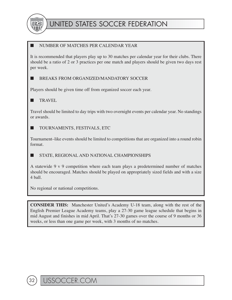

#### NUMBER OF MATCHES PER CALENDAR YEAR

It is recommended that players play up to 30 matches per calendar year for their clubs. There should be a ratio of 2 or 3 practices per one match and players should be given two days rest per week.

#### ■ BREAKS FROM ORGANIZED/MANDATORY SOCCER

Players should be given time off from organized soccer each year.

#### ■ TRAVEL

Travel should be limited to day trips with two overnight events per calendar year. No standings or awards.

TOURNAMENTS, FESTIVALS, ETC

Tournament–like events should be limited to competitions that are organized into a round robin format.

■ STATE, REGIONAL AND NATIONAL CHAMPIONSHIPS

A statewide 9 v 9 competition where each team plays a predetermined number of matches should be encouraged. Matches should be played on appropriately sized fields and with a size 4 ball.

No regional or national competitions.

**CONSIDER THIS:** Manchester United's Academy U-18 team, along with the rest of the English Premier League Academy teams, play a 27-30 game league schedule that begins in mid August and finishes in mid April. That's 27-30 games over the course of 9 months or 36 weeks, or less than one game per week, with 3 months of no matches.

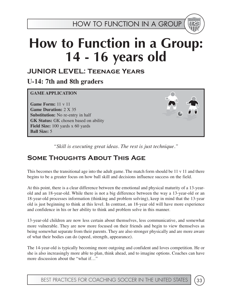# **How to Function in a Group: 14 - 16 years old**

## **JUNIOR LEVEL: Teenage Years**

**U-14: 7th and 8th graders**

**GAME APPLICATION**

**Game Form:** 11 v 11 **Game Duration:** 2 X 35 **Substitution:** No re-entry in half **GK Status:** GK chosen based on ability **Field Size:** 100 yards x 60 yards **Ball Size:** 5



**LASS** 

*"Skill is executing great ideas. The rest is just technique."*

## **Some Thoughts About This Age**

This becomes the transitional age into the adult game. The match form should be 11 v 11 and there begins to be a greater focus on how ball skill and decisions influence success on the field.

At this point, there is a clear difference between the emotional and physical maturity of a 13-yearold and an 18-year-old. While there is not a big difference between the way a 13-year-old or an 18-year-old processes information (thinking and problem solving), keep in mind that the 13-year old is just beginning to think at this level. In contrast, an 18-year old will have more experience and confidence in his or her ability to think and problem solve in this manner.

13-year-old children are now less certain about themselves, less communicative, and somewhat more vulnerable. They are now more focused on their friends and begin to view themselves as being somewhat separate from their parents. They are also stronger physically and are more aware of what their bodies can do (speed, strength, appearance).

The 14-year-old is typically becoming more outgoing and confident and loves competition. He or she is also increasingly more able to plan, think ahead, and to imagine options. Coaches can have more discussion about the "what if…"

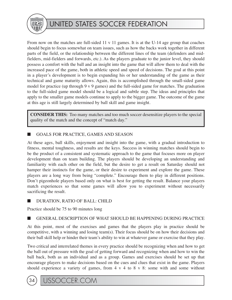

From now on the matches are full-sided 11 v 11 games. It is at the U-14 age group that coaches should begin to focus somewhat on team issues, such as how the backs work together in different parts of the field, or the relationship between the different lines of the team (defenders and midfielders, mid-fielders and forwards, etc.). As the players graduate to the junior level, they should possess a comfort with the ball and an insight into the game that will allow them to deal with the increased pace of the game, both in athletic speed and speed of decisions. The goal at this point in a player's development is to begin expanding his or her understanding of the game as their technical and game maturity allows. Again, this is accomplished through the small-sided game model for practice (up through 9 v 9 games) and the full-sided game for matches. The graduation to the full-sided game model should be a logical and subtle step. The ideas and principles that apply to the smaller game models continue to apply to the bigger game. The outcome of the game at this age is still largely determined by ball skill and game insight.

**CONSIDER THIS:** Too many matches and too much soccer desensitize players to the special quality of the match and the concept of "match day."

## GOALS FOR PRACTICE, GAMES AND SEASON

At these ages, ball skills, enjoyment and insight into the game, with a gradual introduction to fitness, mental toughness, and results are the keys. Success in winning matches should begin to be the product of a consistent and systematic approach to the game that focuses more on player development than on team building. The players should be developing an understanding and familiarity with each other on the field, but the desire to get a result on Saturday should not hamper their instincts for the game, or their desire to experiment and explore the game. These players are a long way from being "complete." Encourage them to play in different positions. Don't pigeonhole players based only on what is best for getting the result. Balance your players match experiences so that some games will allow you to experiment without necessarily sacrificing the result.

## DURATION, RATIO OF BALL: CHILD

Practice should be 75 to 90 minutes long

## ■ GENERAL DESCRIPTION OF WHAT SHOULD BE HAPPENING DURING PRACTICE

At this point, most of the exercises and games that the players play in practice should be competitive, with a winning and losing team(s). Their focus should be on how their decisions and their ball skill help or hinder their team's ability to win at whatever game or exercise that they play.

Two critical and interrelated themes in every practice should be recognizing when and how to get the ball out of pressure with the goal of getting forward and recognizing when and how to win the ball back, both as an individual and as a group. Games and exercises should be set up that encourage players to make decisions based on the cues and clues that exist in the game. Players should experience a variety of games, from 4 v 4 to 8 v 8: some with and some without

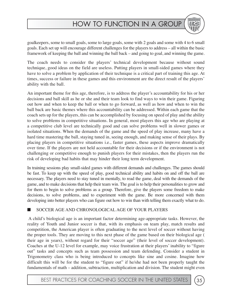## HOW TO FUNCTION IN A GROUP

goalkeepers, some to small goals, some to large goals, some with 2 goals and some with 4 to 6 small goals. Each set up will encourage different challenges for the players to address – all within the basic framework of keeping the ball and winning the ball back – and going to goal, and winning the game.

The coach needs to consider the players' technical development because without sound technique, good ideas on the field are useless. Putting players in small-sided games where they have to solve a problem by application of their technique is a critical part of training this age. At times, success or failure in these games and this environment are the direct result of the players' ability with the ball.

An important theme for this age, therefore, is to address the player's accountability for his or her decisions and ball skill as he or she and their team look to find ways to win their game. Figuring out how and when to keep the ball or when to go forward, as well as how and when to win the ball back are basic themes where this accountability can be addressed. Within each game that the coach sets up for the players, this can be accomplished by focusing on speed of play and the ability to solve problems in competitive situations. In general, most players this age who are playing at a competitive club level are technically good and can solve problems well in slower games or isolated situations. When the demands of the game and the speed of play increase, many have a hard time mastering the ball, staying tuned in, seeing enough, and making sense of their plays. By placing players in competitive situations i.e., faster games, these aspects improve dramatically over time. If the players are not held accountable for their decisions or if the environment is not challenging or competitive enough to punish players for their mistakes, then the players run the risk of developing bad habits that may hinder their long term development.

In training sessions play small-sided games with different demands and challenges. The games should be fast. To keep up with the speed of play, good technical ability and habits on and off the ball are necessary. The players need to stay tuned in mentally, to read the game, deal with the demands of the game, and to make decisions that help their team win. The goal is to help their personalities to grow and for them to begin to solve problems as a group. Therefore, give the players some freedom to make decisions, to solve problems, and to experiment with the game. Be more concerned with them developing into better players who can figure out how to win than with telling them exactly what to do.

#### SOCCER AGE AND CHRONOLOGICAL AGE OF YOUR PLAYERS

A child's biological age is an important factor determining age-appropriate tasks. However, the reality of Youth and Junior soccer is that, with its emphasis on team play, match results and competition, the American player is often graduating to the next level of soccer without having the proper tools. They are moving to this next phase of the game based on their biological age ( their age in years), without regard for their "soccer age" (their level of soccer development). Coaches at the U-12 level for example, may voice frustration at their players' inability to "figure out" tasks and concepts such as team possession and team defending. Consider a student in Trigonometry class who is being introduced to concepts like sine and cosine. Imagine how difficult this will be for the student to "figure out" if he/she had not been properly taught the fundamentals of math – addition, subtraction, multiplication and division. The student might even

**INGER**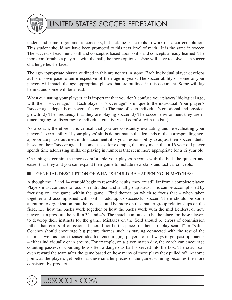

understand some trigonometric concepts, but lack the basic tools to work out a correct solution. This student should not have been promoted to this next level of math. It is the same in soccer. The success of each new skill and concept is based upon skills and concepts already learned. The more comfortable a player is with the ball, the more options he/she will have to solve each soccer challenge he/she faces.

The age-appropriate phases outlined in this are not set in stone. Each individual player develops at his or own pace, often irrespective of their age in years. The soccer ability of some of your players will match the age-appropriate phases that are outlined in this document. Some will lag behind and some will be ahead.

When evaluating your players, it is important that you don't confuse your players' biological age, with their "soccer age." Each player's "soccer age" is unique to the individual. Your player's "soccer age" depends on several factors: 1) The rate of each individual's emotional and physical growth. 2) The frequency that they are playing soccer. 3) The soccer environment they are in (encouraging or discouraging individual creativity and comfort with the ball).

As a coach, therefore, it is critical that you are constantly evaluating and re-evaluating your players' soccer ability. If your players' skills do not match the demands of the corresponding ageappropriate phase outlined in this document, it is your responsibility to adjust their soccer "diet," based on their "soccer age." In some cases, for example, this may mean that a 16 year old player spends time addressing skills, or playing in numbers that seem more appropriate for a 12 year old.

One thing is certain; the more comfortable your players become with the ball, the quicker and easier that they and you can expand their game to include new skills and tactical concepts.

#### GENERAL DESCRIPTION OF WHAT SHOULD BE HAPPENING IN MATCHES:

Although the 13 and 14 year old begin to resemble adults, they are still far from a complete player. Players must continue to focus on individual and small group ideas. This can be accomplished by focusing on "the game within the game." Find themes on which to focus that – when taken together and accomplished with skill – add up to successful soccer. There should be some attention to organization, but the focus should be more on the smaller group relationships on the field, i.e., how the backs work together or how the backs work with the mid fielders, or how players can pressure the ball in 3's and 4's. The match continues to be the place for these players to develop their instincts for the game. Mistakes on the field should be errors of commission rather than errors of omission. It should not be the place for them to "play scared" or "safe." Coaches should encourage big picture themes such as staying connected with the rest of the team, as well as more focused idea like encouraging players to find ways to get past opponents – either individually or in groups. For example, on a given match day, the coach can encourage counting passes, or counting how often a dangerous ball is served into the box. The coach can even reward the team after the game based on how many of these plays they pulled off. At some point, as the players get better at these smaller pieces of the game, winning becomes the more consistent by-product.

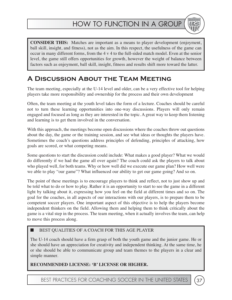## HOW TO FUNCTION IN A GROUP

**CONSIDER THIS:** Matches are important as a means to player development (enjoyment, ball skill, insight, and fitness), not as the aim. In this respect, the usefulness of the game can occur in many different forms, from the 4 v 4 to the full-sided match model. Even at the senior level, the game still offers opportunities for growth, however the weight of balance between factors such as enjoyment, ball skill, insight, fitness and results shift more toward the latter.

## **A Discussion About the Team Meeting**

The team meeting, especially at the U-14 level and older, can be a very effective tool for helping players take more responsibility and ownership for the process and their own development

Often, the team meeting at the youth level takes the form of a lecture. Coaches should be careful not to turn these learning opportunities into one-way discussions. Players will only remain engaged and focused as long as they are interested in the topic. A great way to keep them listening and learning is to get them involved in the conversation.

With this approach, the meetings become open discussions where the coaches throw out questions about the day, the game or the training session, and see what ideas or thoughts the players have. Sometimes the coach's questions address principles of defending, principles of attacking, how goals are scored, or what competing means.

Some questions to start the discussion could include: What makes a good player? What we would do differently if we had the game all over again? The coach could ask the players to talk about who played well, for both teams. Why or how well did we execute our game plan? How well were we able to play "our game"? What influenced our ability to get our game going? And so on.

The point of these meetings is to encourage players to think and reflect, not to just show up and be told what to do or how to play. Rather it is an opportunity to start to see the game in a different light by talking about it, expressing how you feel on the field at different times and so on. The goal for the coaches, in all aspects of our interactions with our players, is to prepare them to be competent soccer players. One important aspect of this objective is to help the players become independent thinkers on the field. Allowing them and helping them to think critically about the game is a vital step in the process. The team meeting, when it actually involves the team, can help to move this process along.

## ■ BEST QUALITIES OF A COACH FOR THIS AGE PLAYER

The U-14 coach should have a firm grasp of both the youth game and the junior game. He or she should have an appreciation for creativity and independent thinking. At the same time, he or she should be able to communicate group and team themes to the players in a clear and simple manner.

#### **RECOMMENDED LICENSE: 'B' LICENSE OR HIGHER.**

BEST PRACTICES FOR COACHING SOCCER IN THE UNITED STATES | (37

**INST**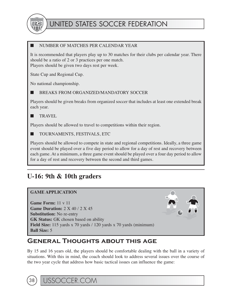



## **U-16: 9th & 10th graders**

## **GAME APPLICATION**

**Game Form:** 11 v 11 **Game Duration:** 2 X 40 / 2 X 45 **Substitution:** No re-entry **GK Status:** GK chosen based on ability **Field Size:** 115 yards x 70 yards / 120 yards x 70 yards (minimum) **Ball Size:** 5



## **General Thoughts about this age**

By 15 and 16 years old, the players should be comfortable dealing with the ball in a variety of situations. With this in mind, the coach should look to address several issues over the course of the two year cycle that address how basic tactical issues can influence the game:



<sup>38</sup> USSOCCER.COM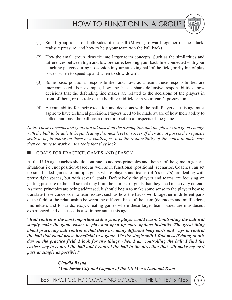## HOW TO FUNCTION IN A GROUP

- (1) Small group ideas on both sides of the ball (Moving forward together on the attack, realistic pressure, and how to help your team win the ball back).
- (2) How the small group ideas tie into larger team concepts. Such as the similarities and differences between high and low pressure, keeping your back line connected with your attacking players during possession in your attacking half of the field, or rhythm of play issues (when to speed up and when to slow down).
- (3) Some basic positional responsibilities and how, as a team, these responsibilities are interconnected. For example, how the backs share defensive responsibilities, how decisions that the defending line makes are related to the decisions of the players in front of them, or the role of the holding midfielder in your team's possession.
- (4) Accountability for their execution and decisions with the ball. Players at this age must aspire to have technical precision. Players need to be made aware of how their ability to collect and pass the ball has a direct impact on all aspects of the game.

*Note: These concepts and goals are all based on the assumption that the players are good enough with the ball to be able to begin dealing this next level of soccer. If they do not posses the requisite skills to begin taking on these new challenges, it is the responsibility of the coach to make sure they continue to work on the tools that they lack.*

GOALS FOR PRACTICE, GAMES AND SEASON

At the U-16 age coaches should continue to address principles and themes of the game in generic situations i.e., not position-based, as well as in functional (positional) scenarios. Coaches can set up small-sided games to multiple goals where players and teams (of 6's or 7's) are dealing with pretty tight spaces, but with several goals. Defensively the players and teams are focusing on getting pressure to the ball so that they limit the number of goals that they need to actively defend. As these principles are being addressed, it should begin to make some sense to the players how to translate these concepts into team issues, such as how the backs work together in different parts of the field or the relationship between the different lines of the team (defenders and midfielders, midfielders and forwards, etc.). Creating games where these larger team issues are introduced, experienced and discussed is also important at this age.

*"Ball control is the most important skill a young player could learn. Controlling the ball will simply make the game easier to play and open up more options instantly. The great thing about practicing ball control is that there are many different body parts and ways to control the ball that could prove beneficial in a game. It's the single skill I find myself doing to this day on the practice field. I look for two things when I am controlling the ball: I find the easiest way to control the ball and I control the ball in the direction that will make my next pass as simple as possible."*

> *Claudio Reyna Manchester City and Captain of the US Men's National Team*

**IKG**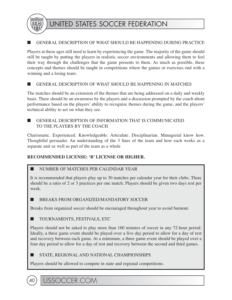**IRSA** 

#### GENERAL DESCRIPTION OF WHAT SHOULD BE HAPPENING DURING PRACTICE

Players at these ages still need to learn by experiencing the game. The majority of the game should still be taught by putting the players in realistic soccer environments and allowing them to feel their way through the challenges that the game presents to them. As much as possible, these concepts and themes should be taught in competitions where the games or exercises end with a winning and a losing team.

#### GENERAL DESCRIPTION OF WHAT SHOULD BE HAPPENING IN MATCHES

The matches should be an extension of the themes that are being addressed on a daily and weekly basis. There should be an awareness by the players and a discussion prompted by the coach about performance based on the players' ability to recognize themes during the game, and the players' technical ability to act on what they see.

#### GENERAL DESCRIPTION OF INFORMATION THAT IS COMMUNICATED TO THE PLAYERS BY THE COACH

Charismatic. Experienced. Knowledgeable. Articulate. Disciplinarian. Managerial know how. Thoughtful persuader. An understanding of the 3 lines of the team and how each works as a separate unit as well as part of the team as a whole

#### **RECOMMENDED LICENSE: 'B' LICENSE OR HIGHER.**

#### NUMBER OF MATCHES PER CALENDAR YEAR

It is recommended that players play up to 30 matches per calendar year for their clubs. There should be a ratio of 2 or 3 practices per one match. Players should be given two days rest per week.

#### ■ BREAKS FROM ORGANIZED/MANDATORY SOCCER

Breaks from organized soccer should be encouraged throughout year to avoid burnout.

#### TOURNAMENTS, FESTIVALS, ETC

Players should not be asked to play more than 160 minutes of soccer in any 72-hour period. Ideally, a three game event should be played over a five day period to allow for a day of rest and recovery between each game. At a minimum, a three game event should be played over a four day period to allow for a day of rest and recovery between the second and third games.

#### STATE, REGIONAL AND NATIONAL CHAMPIONSHIPS

Players should be allowed to compete in state and regional competitions.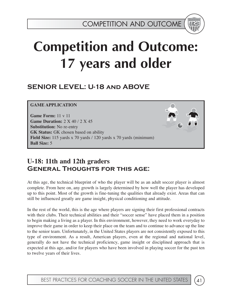# **Competition and Outcome: 17 years and older**

## **SENIOR LEVEL: U-18 and ABOVE**

## **GAME APPLICATION**

**Game Form:** 11 v 11 **Game Duration:** 2 X 40 / 2 X 45 **Substitution:** No re-entry **GK Status:** GK chosen based on ability **Field Size:** 115 yards x 70 yards / 120 yards x 70 yards (minimum) **Ball Size:** 5



**IKG** 

## **U-18: 11th and 12th graders General Thoughts for this age:**

At this age, the technical blueprint of who the player will be as an adult soccer player is almost complete. From here on, any growth is largely determined by how well the player has developed up to this point. Most of the growth is fine-tuning the qualities that already exist. Areas that can still be influenced greatly are game insight, physical conditioning and attitude.

In the rest of the world, this is the age where players are signing their first professional contracts with their clubs. Their technical abilities and their "soccer sense" have placed them in a position to begin making a living as a player. In this environment, however, they need to work everyday to improve their game in order to keep their place on the team and to continue to advance up the line to the senior team. Unfortunately, in the United States players are not consistently exposed to this type of environment. As a result, American players, even at the regional and national level, generally do not have the technical proficiency, game insight or disciplined approach that is expected at this age, and/or for players who have been involved in playing soccer for the past ten to twelve years of their lives.

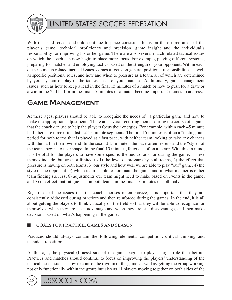

With that said, coaches should continue to place consistent focus on these three areas of the player's game: technical proficiency and precision, game insight and the individual's responsibility for improving his or her game. There are also several match related tactical issues on which the coach can now begin to place more focus. For example, playing different systems, preparing for matches and employing tactics based on the strength of your opponent. Within each of these match related tactical issues, comes a focus on general positional responsibilities as well as specific positional roles, and how and when to pressure as a team, all of which are determined by your system of play or the tactics used for your matches. Additionally, game management issues, such as how to keep a lead in the final 15 minutes of a match or how to push for a draw or a win in the 2nd half or in the final 15 minutes of a match become important themes to address.

## **Game Management**

At these ages, players should be able to recognize the needs of a particular game and how to make the appropriate adjustments. There are several recurring themes during the course of a game that the coach can use to help the players focus their energies. For example, within each 45 minute half, there are three often distinct 15 minute segments. The first 15 minutes is often a "feeling out" period for both teams that is played at a fast pace, with neither team looking to take any chances with the ball in their own end. In the second 15 minutes, the pace often lessens and the "style" of the teams begins to take shape. In the final 15 minutes, fatigue is often a factor. With this in mind, it is helpful for the players to have some specific themes to look for during the game. These themes include, but are not limited to 1) the level of pressure by both teams, 2) the effect that pressure is having on both teams, 3) our style and how well we are able to play "our" game, 4) the style of the opponent, 5) which team is able to dominate the game, and in what manner is either team finding success, 6) adjustments our team might need to make based on events in the game, and 7) the effect that fatigue has on both teams in the final 15 minutes of both halves.

Regardless of the issues that the coach chooses to emphasize, it is important that they are consistently addressed during practices and then reinforced during the games. In the end, it is all about getting the players to think critically on the field so that they will be able to recognize for themselves when they are at an advantage and when they are at a disadvantage, and then make decisions based on what's happening in the game."

#### GOALS FOR PRACTICE, GAMES AND SEASON

Practices should always contain the following elements: competition, critical thinking and technical repetition.

At this age, the physical (fitness) side of the game begins to play a larger role than before. Practices and matches should continue to focus on improving the players' understanding of the tactical issues, such as how to control the rhythm of the game, as well as getting the group working not only functionally within the group but also as 11 players moving together on both sides of the

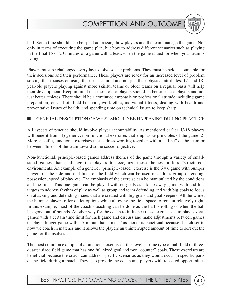## COMPETITION AND OUTCOME

ball. Some time should also be spent addressing how players and the team manage the game. Not only in terms of executing the game plan, but how to address different scenarios such as playing in the final 15 or 20 minutes of a game with a lead, when the game is tied, or when your team is losing.

Players must be challenged everyday to solve soccer problems. They must be held accountable for their decisions and their performance. These players are ready for an increased level of problem solving that focuses on using their soccer mind and not just their physical attributes. 17- and 18 year-old players playing against more skillful teams or older teams on a regular basis will help their development. Keep in mind that these older players should be better soccer players and not just better athletes. There should be a continued emphasis on professional attitude including game preparation, on and off field behavior, work ethic, individual fitness, dealing with health and preventative issues of health, and spending time on technical issues to keep sharp.

#### GENERAL DESCRIPTION OF WHAT SHOULD BE HAPPENING DURING PRACTICE

All aspects of practice should involve player accountability. As mentioned earlier, U-18 players will benefit from: 1) generic, non-functional exercises that emphasize principles of the game. 2) More specific, functional exercises that address working together within a "line" of the team or between "lines" of the team toward some soccer objective.

Non-functional, principle-based games address themes of the game through a variety of smallsided games that challenge the players to recognize these themes in less "structured" environments. An example of a generic, "principle-based" exercise is the 6 v 6 game with bumper players on the side and end lines of the field which can be used to address group defending, possession, speed of play, etc. The emphasis of the exercise can be manipulated by the conditions and the rules. This one game can be played with no goals as a keep away game, with end line targets to address rhythm of play as well as group and team defending and with big goals to focus on attacking and defending issues that are created with big goals and goal keepers. All the while, the bumper players offer outlet options while allowing the field space to remain relatively tight. In this example, most of the coach's teaching can be done as the ball is rolling or when the ball has gone out of bounds. Another way for the coach to influence these exercises is to play several games with a certain time limit for each game and discuss and make adjustments between games or play a longer game with a 5-minute half time. This model is beneficial because it is closer to how we coach in matches and it allows the players an uninterrupted amount of time to sort out the game for themselves.

The most common example of a functional exercise at this level is some type of half field or threequarter sized field game that has one full sized goal and two "counter" goals. These exercises are beneficial because the coach can address specific scenarios as they would occur in specific parts of the field during a match. They also provide the coach and players with repeated opportunities



**IKG**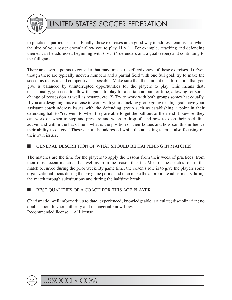

to practice a particular issue. Finally, these exercises are a good way to address team issues when the size of your roster doesn't allow you to play 11 v 11. For example, attacking and defending themes can be addressed beginning with 6 v 5 (4 defenders and a goalkeeper) and continuing to the full game.

There are several points to consider that may impact the effectiveness of these exercises. 1) Even though there are typically uneven numbers and a partial field with one full goal, try to make the soccer as realistic and competitive as possible. Make sure that the amount of information that you give is balanced by uninterrupted opportunities for the players to play. This means that, occasionally, you need to allow the game to play for a certain amount of time, allowing for some change of possession as well as restarts, etc. 2) Try to work with both groups somewhat equally. If you are designing this exercise to work with your attacking group going to a big goal, have your assistant coach address issues with the defending group such as establishing a point in their defending half to "recover" to when they are able to get the ball out of their end. Likewise, they can work on when to step and pressure and when to drop off and how to keep their back line active, and within the back line – what is the position of their bodies and how can this influence their ability to defend? These can all be addressed while the attacking team is also focusing on their own issues.

#### GENERAL DESCRIPTION OF WHAT SHOULD BE HAPPENING IN MATCHES

The matches are the time for the players to apply the lessons from their week of practices, from their most recent match and as well as from the season thus far. Most of the coach's role in the match occurred during the prior week. By game time, the coach's role is to give the players some organizational focus during the pre game period and then make the appropriate adjustments during the match through substitutions and during the halftime break.

## BEST QUALITIES OF A COACH FOR THIS AGE PLAYER

Charismatic; well informed; up to date; experienced; knowledgeable; articulate; disciplinarian; no doubts about his/her authority and managerial know-how. Recommended license: 'A' License

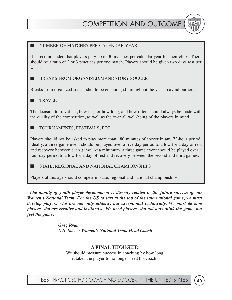## COMPETITION AND OUTCOME

#### NUMBER OF MATCHES PER CALENDAR YEAR

It is recommended that players play up to 30 matches per calendar year for their clubs. There should be a ratio of 2 or 3 practices per one match. Players should be given two days rest per week.

#### ■ BREAKS FROM ORGANIZED/MANDATORY SOCCER

Breaks from organized soccer should be encouraged throughout the year to avoid burnout.

#### ■ TRAVEL

The decision to travel i.e., how far, for how long, and how often, should always be made with the quality of the competition, as well as the over all well-being of the players in mind.

TOURNAMENTS, FESTIVALS, ETC

Players should not be asked to play more than 180 minutes of soccer in any 72-hour period. Ideally, a three game event should be played over a five day period to allow for a day of rest and recovery between each game. At a minimum, a three game event should be played over a four day period to allow for a day of rest and recovery between the second and third games.

■ STATE, REGIONAL AND NATIONAL CHAMPIONSHIPS

Players at this age should compete in state, regional and national championships.

*"The quality of youth player development is directly related to the future success of our Women's National Team. For the US to stay at the top of the international game, we must develop players who are not only athletic, but exceptional technically. We must develop players who are creative and instinctive. We need players who not only think the game, but feel the game."*

> *Greg Ryan U.S. Soccer Women's National Team Head Coach*

#### **A FINAL THOUGHT:**

We should measure success in coaching by how long it takes the player to no longer need his coach.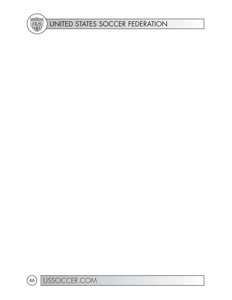

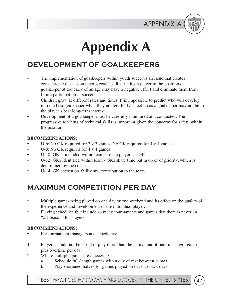

# **Appendix A**

## **DEVELOPMENT OF GOALKEEPERS**

- The implementation of goalkeepers within youth soccer is an issue that creates considerable discussion among coaches. Restricting a player to the position of goalkeeper at too early of an age may have a negative effect and eliminate them from future participation in soccer
- Children grow at different rates and times. It is impossible to predict who will develop into the best goalkeeper when they are ten. Early selection as a goalkeeper may not be in the player's best long-term interest.
- Development of a goalkeeper must be carefully monitored and conducted. The progressive teaching of technical skills is important given the concerns for safety within the position.

#### **RECOMMENDATIONS:**

- U-6: No GK required for 3 v 3 games. No GK required for 4 v 4 games.
- U-8: No GK required for 4 v 4 games.
- U-10: GK is included within team rotate players as GK.
- U-12: GKs identified within team GKs share time but in order of priority, which is determined by the coach.
- U-14: GK chosen on ability and contribution to the team.

## **MAXIMUM COMPETITION PER DAY**

- Multiple games being played on one day or one weekend and its effect on the quality of the experience and development of the individual player.
- Playing schedules that include so many tournaments and games that there is never an "off season" for players.

## **RECOMMENDATIONS:**

- For tournament managers and schedulers:
- 1. Players should not be asked to play more than the equivalent of one full-length game plus overtime per day.
- 2. Where multiple games are a necessity:
	- a. Schedule full-length games with a day of rest between games
	- b. Play shortened halves for games played on back-to-back days

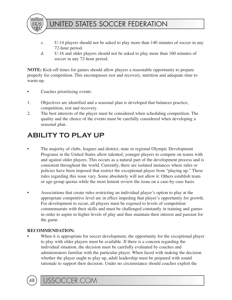

- c. U-14 players should not be asked to play more than 140 minutes of soccer in any 72-hour period.
- d. U-16 and older players should not be asked to play more than 160 minutes of soccer in any 72-hour period.

**NOTE:** Kick-off times for games should allow players a reasonable opportunity to prepare properly for competition. This encompasses rest and recovery, nutrition and adequate time to warm-up.

- Coaches prioritizing events:
- 1. Objectives are identified and a seasonal plan is developed that balances practice, competition, rest and recovery.
- 2. The best interests of the player must be considered when scheduling competition. The quality and the choice of the events must be carefully considered when developing a seasonal plan.

## **ABILITY TO PLAY UP**

- The majority of clubs, leagues and district, state or regional Olympic Development Programs in the United States allow talented, younger players to compete on teams with and against older players. This occurs as a natural part of the development process and is consistent throughout the world. Currently, there are isolated instances where rules or policies have been imposed that restrict the exceptional player from "playing up." These rules regarding this issue vary. Some absolutely will not allow it. Others establish team or age-group quotas while the most lenient review the issue on a case-by-case basis.
- Associations that create rules restricting an individual player's option to play at the appropriate competitive level are in effect impeding that player's opportunity for growth. For development to occur, all players must be exposed to levels of competition commensurate with their skills and must be challenged constantly in training and games in order to aspire to higher levels of play and thus maintain their interest and passion for the game.

#### **RECOMMENDATION:**

When it is appropriate for soccer development, the opportunity for the exceptional player to play with older players must be available. If there is a concern regarding the individual situation, the decision must be carefully evaluated by coaches and administrators familiar with the particular player. When faced with making the decision whether the player ought to play up, adult leadership must be prepared with sound rationale to support their decision. Under no circumstance should coaches exploit the

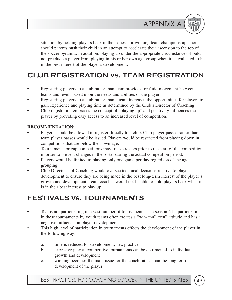situation by holding players back in their quest for winning team championships, nor should parents push their child in an attempt to accelerate their ascension to the top of the soccer pyramid. In addition, playing up under the appropriate circumstances should not preclude a player from playing in his or her own age group when it is evaluated to be in the best interest of the player's development.

APPENDIX A

## **CLUB REGISTRATION vs. TEAM REGISTRATION**

- Registering players to a club rather than team provides for fluid movement between teams and levels based upon the needs and abilities of the player.
- Registering players to a club rather than a team increases the opportunities for players to gain experience and playing time as determined by the Club's Director of Coaching.
- Club registration embraces the concept of "playing up" and positively influences the player by providing easy access to an increased level of competition.

#### **RECOMMENDATION:**

- Players should be allowed to register directly to a club. Club player passes rather than team player passes would be issued. Players would be restricted from playing down in competitions that are below their own age.
- Tournaments or cup competitions may freeze rosters prior to the start of the competition in order to prevent changes in the roster during the actual competition period.
- Players would be limited to playing only one game per day regardless of the age grouping.
- Club Director's of Coaching would oversee technical decisions relative to player development to ensure they are being made in the best long-term interest of the player's growth and development. Team coaches would not be able to hold players back when it is in their best interest to play up.

## **FESTIVALS vs. TOURNAMENTS**

- Teams are participating in a vast number of tournaments each season. The participation in these tournaments by youth teams often creates a "win-at-all cost" attitude and has a negative influence on player development.
- This high level of participation in tournaments effects the development of the player in the following way:
	- a. time is reduced for development, i.e., practice
	- b. excessive play at competitive tournaments can be detrimental to individual growth and development
	- c. winning becomes the main issue for the coach rather than the long term development of the player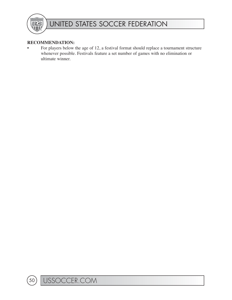

#### **RECOMMENDATION:**

• For players below the age of 12, a festival format should replace a tournament structure whenever possible. Festivals feature a set number of games with no elimination or ultimate winner.

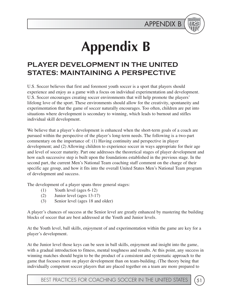

# **Appendix B**

## **PLAYER DEVELOPMENT IN THE UNITED STATES: MAINTAINING A PERSPECTIVE**

U.S. Soccer believes that first and foremost youth soccer is a sport that players should experience and enjoy as a game with a focus on individual experimentation and development. U.S. Soccer encourages creating soccer environments that will help promote the players' lifelong love of the sport. These environments should allow for the creativity, spontaneity and experimentation that the game of soccer naturally encourages. Too often, children are put into situations where development is secondary to winning, which leads to burnout and stifles individual skill development.

We believe that a player's development is enhanced when the short-term goals of a coach are pursued within the perspective of the player's long-term needs. The following is a two-part commentary on the importance of: (1) Having continuity and perspective in player development; and (2) Allowing children to experience soccer in ways appropriate for their age and level of soccer maturity. Part one addresses the theoretical stages of player development and how each successive step is built upon the foundations established in the previous stage. In the second part, the current Men's National Team coaching staff comment on the charge of their specific age group, and how it fits into the overall United States Men's National Team program of development and success.

The development of a player spans three general stages:

- (1) Youth level (ages 6-12)
- (2) Junior level (ages 13-17)
- (3) Senior level (ages 18 and older)

A player's chances of success at the Senior level are greatly enhanced by mastering the building blocks of soccer that are best addressed at the Youth and Junior levels.

At the Youth level, ball skills, enjoyment of and experimentation within the game are key for a player's development.

At the Junior level those keys can be seen in ball skills, enjoyment and insight into the game, with a gradual introduction to fitness, mental toughness and results. At this point, any success in winning matches should begin to be the product of a consistent and systematic approach to the game that focuses more on player development than on team-building. (The theory being that individually competent soccer players that are placed together on a team are more prepared to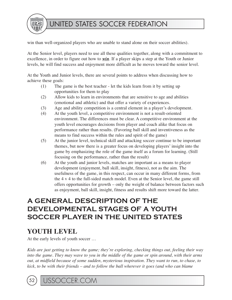win than well-organized players who are unable to stand alone on their soccer abilities).

At the Senior level, players need to use all these qualities together, along with a commitment to excellence, in order to figure out how to *win*. If a player skips a step at the Youth or Junior levels, he will find success and enjoyment more difficult as he moves toward the senior level.

At the Youth and Junior levels, there are several points to address when discussing how to achieve these goals:

- (1) The game is the best teacher let the kids learn from it by setting up opportunities for them to play
- (2) Allow kids to learn in environments that are sensitive to age and abilities (emotional and athletic) and that offer a variety of experiences.
- (3) Age and ability competition is a central element in a player's development.
- (4) At the youth level, a competitive environment is not a result-oriented environment. The differences must be clear. A competitive environment at the youth level encourages decisions from player and coach alike that focus on performance rather than results. (Favoring ball skill and inventiveness as the means to find success within the rules and spirit of the game)
- (5) At the junior level, technical skill and attacking soccer continue to be important themes, but now there is a greater focus on developing players' insight into the game by emphasizing the role of the game itself as a forum for learning. (Still focusing on the performance, rather than the result)
- (6) At the youth and junior levels, matches are important as a means to player development (enjoyment, ball skill, insight, fitness), not as the aim. The usefulness of the game, in this respect, can occur in many different forms, from the 4 v 4 to the full-sided match model. Even at the Senior level, the game still offers opportunities for growth – only the weight of balance between factors such as enjoyment, ball skill, insight, fitness and results shift more toward the latter.

## **A GENERAL DESCRIPTION OF THE DEVELOPMENTAL STAGES OF A YOUTH SOCCER PLAYER IN THE UNITED STATES**

## **YOUTH LEVEL**

At the early levels of youth soccer …

*Kids are just getting to know the game; they're exploring, checking things out, feeling their way into the game. They may wave to you in the middle of the game or spin around, with their arms out, at midfield because of some sudden, mysterious inspiration. They want to run, to chase, to kick, to be with their friends – and to follow the ball wherever it goes (and who can blame*



**IRGE**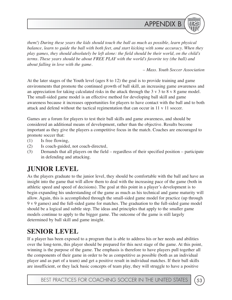

*them!) During these years the kids should touch the ball as much as possible, learn physical balance, learn to guide the ball with both feet, and start kicking with some accuracy. When they play games, they should absolutely be left alone: the field should be their world, on the child's terms. These years should be about FREE PLAY with the world's favorite toy (the ball) and about falling in love with the game.*

*– Mass. Youth Soccer Association*

At the later stages of the Youth level (ages 8 to 12) the goal is to provide training and game environments that promote the continued growth of ball skill, an increasing game awareness and an appreciation for taking calculated risks in the attack through the 3 v 3 to 8 v 8 game model. The small-sided game model is an effective method for developing ball skill and game awareness because it increases opportunities for players to have contact with the ball and to both attack and defend without the tactical regimentation that can occur in 11 v 11 soccer.

Games are a forum for players to test their ball skills and game awareness, and should be considered an additional means of development, rather than the objective. Results become important as they give the players a competitive focus in the match. Coaches are encouraged to promote soccer that:

- (1) Is free flowing,
- (2) Is coach-guided, not coach-directed,
- (3) Demands that all players on the field regardless of their specified position participate in defending and attacking.

## **JUNIOR LEVEL**

As the players graduate to the junior level, they should be comfortable with the ball and have an insight into the game that will allow them to deal with the increasing pace of the game (both in athletic speed and speed of decisions). The goal at this point in a player's development is to begin expanding his understanding of the game as much as his technical and game maturity will allow. Again, this is accomplished through the small-sided game model for practice (up through 9 v 9 games) and the full-sided game for matches. The graduation to the full-sided game model should be a logical and subtle step. The ideas and principles that apply to the smaller game models continue to apply to the bigger game. The outcome of the game is still largely determined by ball skill and game insight.

## **SENIOR LEVEL**

If a player has been exposed to a program that is able to address his or her needs and abilities over the long-term, this player should be prepared for this next stage of the game. At this point, winning is the purpose of the game. The emphasis is therefore to have players pull together all the components of their game in order to be as competitive as possible (both as an individual player and as part of a team) and get a positive result in individual matches. If their ball skills are insufficient, or they lack basic concepts of team play, they will struggle to have a positive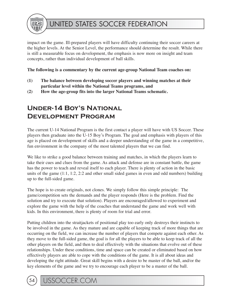

impact on the game. Ill-prepared players will have difficulty continuing their soccer careers at the higher levels. At the Senior Level, the performance should determine the result. While there is still a measurable focus on development, the emphasis is now more on insight and team concepts, rather than individual development of ball skills.

#### **The following is a commentary by the current age-group National Team coaches on:**

- **(1) The balance between developing soccer players and winning matches at their particular level within the National Teams programs, and**
- **(2) How the age-group fits into the larger National Teams schematic.**

## **Under-14 Boy's National Development Program**

The current U-14 National Program is the first contact a player will have with US Soccer. These players then graduate into the U-15 Boy's Program. The goal and emphasis with players of this age is placed on development of skills and a deeper understanding of the game in a competitive, fun environment in the company of the most talented players that we can find.

We like to strike a good balance between training and matches, in which the players learn to take their cues and clues from the game. As attack and defense are in constant battle, the game has the power to teach and reveal itself to each player. There is plenty of action in the basic units of the game (1:1, 1:2, 2:2 and other small sided games in even and odd numbers) building up to the full-sided game.

The hope is to create originals, not clones. We simply follow this simple principle: The game/competition sets the demands and the player responds (Here is the problem. Find the solution and try to execute that solution). Players are encouraged/allowed to experiment and explore the game with the help of the coaches that understand the game and work well with kids. In this environment, there is plenty of room for trial and error.

Putting children into the straitjackets of positional play too early only destroys their instincts to be involved in the game. As they mature and are capable of keeping track of more things that are occurring on the field, we can increase the number of players that compete against each other. As they move to the full-sided game, the goal is for all the players to be able to keep track of all the other players on the field, and then to deal effectively with the situations that evolve out of these relationships. Under these conditions, time and space can be created or eliminated based on how effectively players are able to cope with the conditions of the game. It is all about ideas and developing the right attitude. Great skill begins with a desire to be master of the ball, and/or the key elements of the game and we try to encourage each player to be a master of the ball.



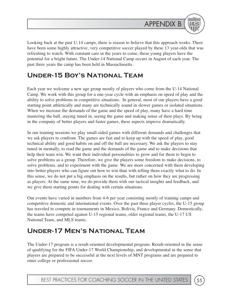

Looking back at the past U-14 camps, there is reason to believe that this approach works. There have been some highly attractive, very competitive soccer played by these 13 year-olds that was refreshing to watch. With constant care in the years to come, these young players have the potential for a bright future. The Under-14 National Camp occurs in August of each year. The past three years the camp has been held in Massachusetts.

## **Under-15 Boy's National Team**

Each year we welcome a new age group mostly of players who come from the U-14 National Camp. We work with this group for a one-year cycle with an emphasis on speed of play and the ability to solve problems in competitive situations. In general, most of our players have a good starting point athletically and many are technically sound in slower games or isolated situations. When we increase the demands of the game and the speed of play, many have a hard time mastering the ball, staying tuned in, seeing the game and making sense of their plays. By being in the company of better players and faster games, these aspects improve dramatically.

In our training sessions we play small-sided games with different demands and challenges that we ask players to confront. The games are fast and to keep up with the speed of play, good technical ability and good habits on and off the ball are necessary. We ask the players to stay tuned in mentally, to read the game and the demands of the game and to make decisions that help their team win. We want their individual personalities to grow and for them to begin to solve problems as a group. Therefore, we give the players some freedom to make decisions, to solve problems, and to experiment with the game. We are more concerned with them developing into better players who can figure out how to win than with telling them exactly what to do. In this sense, we do not put a big emphasis on the results, but rather on how they are progressing as players. At the same time, we do provide them with our tactical insights and feedback, and we give them starting points for dealing with certain situations.

Our events have varied in numbers from 4-6 per year consisting mostly of training camps and competitive domestic and international events. Over the past three player cycles, the U-15 group has traveled to compete in tournaments in Mexico, Bolivia, France and Germany. Domestically, the teams have competed against U-15 regional teams, older regional teams, the U-17 US National Team, and MLS teams.

## **Under-17 Men's National Team**

The Under-17 program is a result-oriented developmental program. Result-oriented in the sense of qualifying for the FIFA Under-17 World Championship, and developmental in the sense that players are prepared to be successful at the next levels of MNT programs and are prepared to enter college or professional soccer.

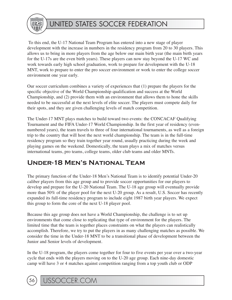

To this end, the U-17 National Team Program has entered into a new stage of player development with the increase in numbers in the residency program from 20 to 30 players. This allows us to bring in more players from the age below our main birth year (the main birth years for the U-17s are the even birth years). These players can now stay beyond the U-17 WC and work towards early high school graduation, work to prepare for development with the U-18 MNT, work to prepare to enter the pro soccer environment or work to enter the college soccer environment one year early.

Our soccer curriculum combines a variety of experiences that (1) prepare the players for the specific objective of the World Championship qualification and success at the World Championship, and (2) provide them with an environment that allows them to hone the skills needed to be successful at the next levels of elite soccer. The players must compete daily for their spots, and they are given challenging levels of match competition.

The Under-17 MNT plays matches to build toward two events: the CONCACAF Qualifying Tournament and the FIFA Under-17 World Championship. In the first year of residency (evennumbered years), the team travels to three of four international tournaments, as well as a foreign trip to the country that will host the next world championship. The team is in the full-time residency program so they train together year round, usually practicing during the week and playing games on the weekend. Domestically, the team plays a mix of matches versus international teams, pro teams, college teams, older club teams and older MNTs.

## **Under-18 Men's National Team**

The primary function of the Under-18 Men's National Team is to identify potential Under-20 caliber players from this age group and to provide soccer opportunities for our players to develop and prepare for the U-20 National Team. The U-18 age group will eventually provide more than 50% of the player pool for the next U-20 group. As a result, U.S. Soccer has recently expanded its full-time residency program to include eight 1987 birth year players. We expect this group to form the core of the next U-18 player pool.

Because this age group does not have a World Championship, the challenge is to set up environments that come close to replicating that type of environment for the players. The limited time that the team is together places constraints on what the players can realistically accomplish. Therefore, we try to put the players in as many challenging matches as possible. We consider the time in the Under-18 MNT to be a transitional phase of development between the Junior and Senior levels of development.

In the U-18 program, the players come together for four to five events per year over a two-year cycle that ends with the players moving on to the U-20 age group. Each nine-day domestic camp will have 3 or 4 matches against competition ranging from a top youth club or ODP

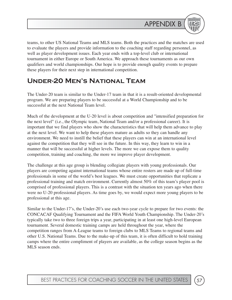

teams, to other US National Teams and MLS teams. Both the practices and the matches are used to evaluate the players and provide information to the coaching staff regarding personnel, as well as player development issues. Each year ends with a top-level club or international tournament in either Europe or South America. We approach these tournaments as our own qualifiers and world championships. Our hope is to provide enough quality events to prepare these players for their next step in international competition.

## **Under-20 Men's National Team**

The Under-20 team is similar to the Under-17 team in that it is a result-oriented developmental program. We are preparing players to be successful at a World Championship and to be successful at the next National Team level.

Much of the development at the U-20 level is about competition and "intensified preparation for the next level" (i.e., the Olympic team, National Team and/or a professional career). It is important that we find players who show the characteristics that will help them advance to play at the next level. We want to help these players mature as adults so they can handle any environment. We need to instill the belief that these players can win at an international level against the competition that they will see in the future. In this way, they learn to win in a manner that will be successful at higher levels. The more we can expose them to quality competition, training and coaching, the more we improve player development.

The challenge at this age group is blending collegiate players with young professionals. Our players are competing against international teams whose entire rosters are made up of full-time professionals in some of the world's best leagues. We must create opportunities that replicate a professional training and match environment. Currently almost 50% of this team's player pool is comprised of professional players. This is a contrast with the situation ten years ago when there were no U-20 professional players. As time goes by, we would expect more young players to be professional at this age.

Similar to the Under-17's, the Under-20's use each two-year cycle to prepare for two events: the CONCACAF Qualifying Tournament and the FIFA World Youth Championship. The Under-20's typically take two to three foreign trips a year, participating in at least one high-level European tournament. Several domestic training camps are held throughout the year, where the competition ranges from A-League teams to foreign clubs to MLS Teams to regional teams and other U.S. National Teams. Due to the make-up of this team, it is often difficult to hold training camps where the entire compliment of players are available, as the college season begins as the MLS season ends.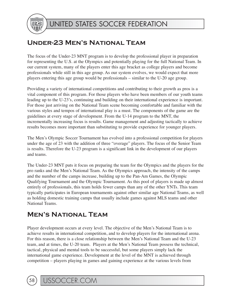

## **Under-23 Men's National Team**

The focus of the Under-23 MNT program is to develop the professional player in preparation for representing the U.S. at the Olympics and potentially playing for the full National Team. In our current system, many of the players enter this age bracket as college players and become professionals while still in this age group. As our system evolves, we would expect that more players entering this age group would be professionals – similar to the U-20 age group.

Providing a variety of international competitions and contributing to their growth as pros is a vital component of this program. For those players who have been members of our youth teams leading up to the U-23's, continuing and building on their international experience is important. For those just arriving on the National Team scene becoming comfortable and familiar with the various styles and tempos of international play is a must. The components of the game are the guidelines at every stage of development. From the U-14 program to the MNT, the incrementally increasing focus is results. Game management and adjusting tactically to achieve results becomes more important than substituting to provide experience for younger players.

The Men's Olympic Soccer Tournament has evolved into a professional competition for players under the age of 23 with the addition of three "overage" players. The focus of the Senior Team is results. Therefore the U-23 program is a significant link in the development of our players and teams.

The Under-23 MNT puts it focus on preparing the team for the Olympics and the players for the pro ranks and the Men's National Team. As the Olympics approach, the intensity of the camps and the number of the camps increase, building up to the Pan-Am Games, the Olympic Qualifying Tournament and the Olympic Tournament. As this pool of players is made up almost entirely of professionals, this team holds fewer camps than any of the other YNTs. This team typically participates in European tournaments against other similar age National Teams, as well as holding domestic training camps that usually include games against MLS teams and other National Teams.

## **Men's National Team**

Player development occurs at every level. The objective of the Men's National Team is to achieve results in international competition, and to develop players for the international arena. For this reason, there is a close relationship between the Men's National Team and the U-23 team, and at times, the U-20 team. Players at the Men's National Team possess the technical, tactical, physical and mental tools to be successful, but some players simply lack the international game experience. Development at the level of the MNT is achieved through competition – players playing in games and gaining experience at the various levels from

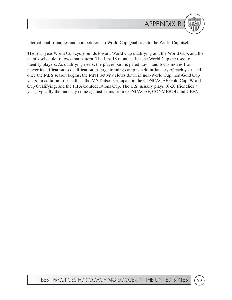

international friendlies and competitions to World Cup Qualifiers to the World Cup itself.

The four-year World Cup cycle builds toward World Cup qualifying and the World Cup, and the team's schedule follows that pattern. The first 18 months after the World Cup are used to identify players. As qualifying nears, the player pool is pared down and focus moves from player identification to qualification. A large training camp is held in January of each year, and once the MLS season begins, the MNT activity slows down in non-World Cup, non-Gold Cup years. In addition to friendlies, the MNT also participate in the CONCACAF Gold Cup, World Cup Qualifying, and the FIFA Confederations Cup. The U.S. usually plays 10-20 friendlies a year; typically the majority come against teams from CONCACAF, CONMEBOL and UEFA.

BEST PRACTICES FOR COACHING SOCCER IN THE UNITED STATES | (59)

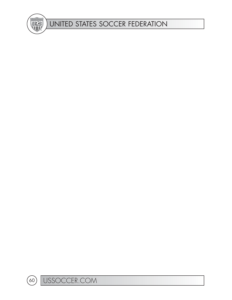

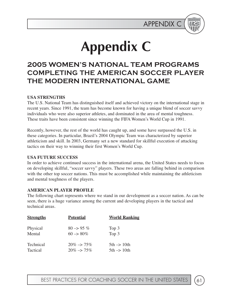

# **Appendix C**

## **2005 WOMEN'S NATIONAL TEAM PROGRAMS COMPLETING THE AMERICAN SOCCER PLAYER THE MODERN INTERNATIONAL GAME**

#### **USA STRENGTHS**

The U.S. National Team has distinguished itself and achieved victory on the international stage in recent years. Since 1991, the team has become known for having a unique blend of soccer savvy individuals who were also superior athletes, and dominated in the area of mental toughness. These traits have been consistent since winning the FIFA Women's World Cup in 1991.

Recently, however, the rest of the world has caught up, and some have surpassed the U.S. in these categories. In particular, Brazil's 2004 Olympic Team was characterized by superior athleticism and skill. In 2003, Germany set a new standard for skillful execution of attacking tactics on their way to winning their first Women's World Cup.

#### **USA FUTURE SUCCESS**

In order to achieve continued success in the international arena, the United States needs to focus on developing skillful, "soccer savvy" players. These two areas are falling behind in comparison with the other top soccer nations. This must be accomplished while maintaining the athleticism and mental toughness of the players.

#### **AMERICAN PLAYER PROFILE**

The following chart represents where we stand in our development as a soccer nation. As can be seen, there is a huge variance among the current and developing players in the tactical and technical areas.

| <b>Strengths</b> | <b>Potential</b>        | <b>World Ranking</b>   |
|------------------|-------------------------|------------------------|
| Physical         | $80 \rightarrow 95 \%$  | Top 3                  |
| Mental           | $60 \rightarrow 80\%$   | Top 3                  |
| Technical        | $20\% \Rightarrow 75\%$ | $5th \rightarrow 10th$ |
| Tactical         | $20\% \Rightarrow 75\%$ | $5th \rightarrow 10th$ |

BEST PRACTICES FOR COACHING SOCCER IN THE UNITED STATES | (61)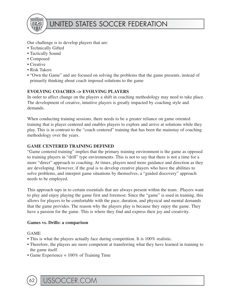

Our challenge is to develop players that are:

- Technically Gifted
- Tactically Sound
- Composed
- Creative
- Risk Takers
- "Own the Game" and are focused on solving the problems that the game presents, instead of primarily thinking about coach imposed solutions to the game

#### **EVOLVING COACHES –> EVOLVING PLAYERS**

In order to affect change on the players a shift in coaching methodology may need to take place. The development of creative, intuitive players is greatly impacted by coaching style and demands.

When conducting training sessions, there needs to be a greater reliance on game oriented training that is player centered and enables players to explore and arrive at solutions while they play. This is in contrast to the "coach centered" training that has been the mainstay of coaching methodology over the years.

#### **GAME CENTERED TRAINING DEFINED**

"Game centered training" implies that the primary training environment is the game as opposed to training players in "drill" type environments. This is not to say that there is not a time for a more "direct" approach to coaching. At times, players need more guidance and direction as they are developing. However, if the goal is to develop creative players who have the abilities to solve problems, and interpret game situations by themselves, a "guided discovery" approach needs to be employed.

This approach taps in to certain essentials that are always present within the team. Players want to play and enjoy playing the game first and foremost. Since the "game" is used in training, this allows for players to be comfortable with the pace, duration, and physical and mental demands that the game provides. The reason why the players play is because they enjoy the game. They have a passion for the game. This is where they find and express their joy and creativity.

#### **Games vs. Drills: a comparison**

GAME

- This is what the players actually face during competition. It is 100% realistic.
- Therefore, the players are more competent at transferring what they have learned in training to the game itself.
- Game Experience = 100% of Training Time

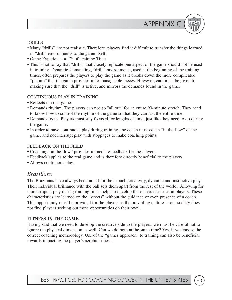

#### DRILLS

- Many "drills" are not realistic. Therefore, players find it difficult to transfer the things learned in "drill" environments to the game itself.
- Game Experience  $=$  ?% of Training Time
- This is not to say that "drills" that closely replicate one aspect of the game should not be used in training. Dynamic, demanding, "drill" environments, used at the beginning of the training times, often prepares the players to play the game as it breaks down the more complicated "picture" that the game provides in to manageable pieces. However, care must be given to making sure that the "drill" is active, and mirrors the demands found in the game.

#### CONTINUOUS PLAY IN TRAINING

- Reflects the real game.
- Demands rhythm. The players can not go "all out" for an entire 90-minute stretch. They need to know how to control the rhythm of the game so that they can last the entire time.
- Demands focus. Players must stay focused for lengths of time, just like they need to do during the game.
- In order to have continuous play during training, the coach must coach "in the flow" of the game, and not interrupt play with stoppages to make coaching points.

#### FEEDBACK ON THE FIELD

- Coaching "in the flow" provides immediate feedback for the players.
- Feedback applies to the real game and is therefore directly beneficial to the players.
- Allows continuous play.

## *Brazilians*

The Brazilians have always been noted for their touch, creativity, dynamic and instinctive play. Their individual brilliance with the ball sets them apart from the rest of the world. Allowing for uninterrupted play during training times helps to develop these characteristics in players. These characteristics are learned on the "streets" without the guidance or even presence of a coach. This opportunity must be provided for the players as the prevailing culture in our society does not find players seeking out these opportunities on their own.

#### **FITNESS IN THE GAME**

Having said that we need to develop the creative side to the players, we must be careful not to ignore the physical dimension as well. Can we do both at the same time? Yes, if we choose the correct coaching methodology. Use of the "games approach" to training can also be beneficial towards impacting the player's aerobic fitness.

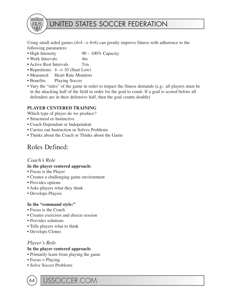

Using small sided games ( $4v4 \rightarrow 6v6$ ) can greatly improve fitness with adherence to the following parameters:

- High Intensity 90 100% Capacity
	-
- Work Intervals 4m
- Active Rest Intervals 5/m
- Repetitions:  $4 \rightarrow 10$  (Start Low)
- Measured: Heart Rate Monitors
- Benefits: Playing Soccer
- Vary the "rules" of the game in order to impact the fitness demands (e.g.: all players must be in the attacking half of the field in order for the goal to count. If a goal is scored before all defenders are in their defensive half, then the goal counts double)

#### **PLAYER CENTERED TRAINING**

Which type of player do we produce?

- Structured or Instinctive
- Coach Dependent or Independent
- Carries out Instruction or Solves Problems
- Thinks about the Coach or Thinks about the Game

## Roles Defined:

#### *Coach's Role*

#### **In the player centered approach:**

- Focus is the Player
- Creates a challenging game environment
- Provides options
- Asks players what they think
- Develops Players

#### **In the "command style:"**

- Focus is the Coach
- Creates exercises and directs session
- Provides solutions
- Tells players what to think
- Develops Clones

#### *Player's Role*

#### **In the player centered approach:**

- Primarily learn from playing the game
- Focus  $=$  Playing
- Solve Soccer Problems

USSOCCER.COM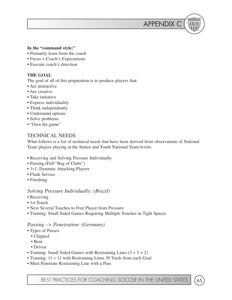

- Primarily learn from the coach
- Focus = Coach's Expectations
- Execute coach's direction

#### **THE GOAL**

The goal of all of this preparation is to produce players that:

- Are instinctive
- Are creative
- Take initiative
- Express individuality
- Think independently
- Understand options
- Solve problems
- "Own the game"

## TECHNICAL NEEDS

What follows is a list of technical needs that have been derived from observations of National Team players playing at the Senior and Youth National Team levels:

APPENDIX C

- Receiving and Solving Pressure Individually
- Passing (Full "Bag of Clubs")
- 1v1, Dynamic Attacking Players
- Flank Service
- Finishing

#### *Solving Pressure Individually: (Brazil)*

- Receiving
- 1st Touch
- Next Several Touches to Free Player from Pressure
- Training: Small Sided Games Requiring Multiple Touches in Tight Spaces

#### *Passing –> Penetration: (Germany)*

- Types of Passes:
	- Chipped
	- Bent
	- Driven
- Training: Small Sided Games with Restraining Lines  $(5 \vee 5 + 2)$
- Training: 11 v 11 with Restraining Lines 30 Yards from each Goal
- Must Penetrate Restraining Line with a Pass

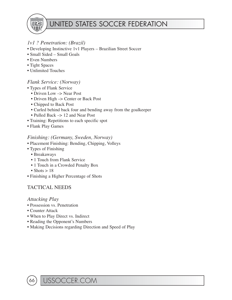

## *1v1 ? Penetration: (Brazil)*

- Developing Instinctive 1v1 Players Brazilian Street Soccer
- Small Sided Small Goals
- Even Numbers
- Tight Spaces
- Unlimited Touches

## *Flank Service: (Norway)*

- Types of Flank Service
	- Driven Low  $\rightarrow$  Near Post
	- Driven High –> Center or Back Post
	- Chipped to Back Post
	- Curled behind back four and bending away from the goalkeeper
	- Pulled Back  $\rightarrow$  12 and Near Post
- Training: Repetitions to each specific spot
- Flank Play Games

## *Finishing: (Germany, Sweden, Norway)*

- Placement Finishing: Bending, Chipping, Volleys
- Types of Finishing
	- Breakaways
	- 1 Touch from Flank Service
	- 1 Touch in a Crowded Penalty Box
	- Shots  $> 18$
- Finishing a Higher Percentage of Shots

## TACTICAL NEEDS

## *Attacking Play*

- Possession vs. Penetration
- Counter Attack
- When to Play Direct vs. Indirect
- Reading the Opponent's Numbers
- Making Decisions regarding Direction and Speed of Play

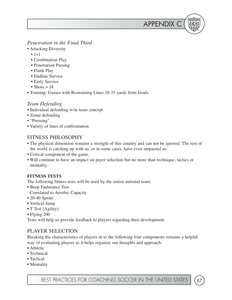## *Penetration in the Final Third*

- Attacking Diversity
	- $1v1$
	- Combination Play
	- Penetration Passing
	- Flank Play
	- Endline Service
	- Early Service
	- Shots  $> 18$
- Training: Games with Restraining Lines:18-35 yards from Goals

#### *Team Defending*

- Individual defending w/in team concept
- Zonal defending
- "Pressing"
- Variety of lines of confrontation

## FITNESS PHILOSOPHY

• The physical dimension remains a strength of this country and can not be ignored. The rest of the world is catching up with us, or in some cases, have even surpassed us.

APPENDIX C

- Critical component of the game.
- Will continue to have an impact on payer selection but no more than technique, tactics or mentality.

#### **FITNESS TESTS**

The following fitness tests will be used by the senior national team:

- Beep Endurance Test
- Correlated to Aerobic Capacity
- 20-40 Sprint
- Vertical Jump
- T Test (Agility)
- Flying 200

Tests will help us provide feedback to players regarding their development.

## PLAYER SELECTION

Breaking the characteristics of players in to the following four components remains a helpful way of evaluating players as it helps organize our thoughts and approach.

- Athletic
- Technical
- Tactical
- Mentality

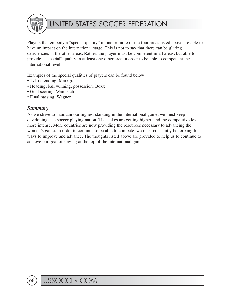

Players that embody a "special quality" in one or more of the four areas listed above are able to have an impact on the international stage. This is not to say that there can be glaring deficiencies in the other areas. Rather, the player must be competent in all areas, but able to provide a "special" quality in at least one other area in order to be able to compete at the international level.

Examples of the special qualities of players can be found below:

- 1v1 defending: Markgraf
- Heading, ball winning, possession: Boxx
- Goal scoring: Wambach
- Final passing: Wagner

#### *Summary*

As we strive to maintain our highest standing in the international game, we must keep developing as a soccer playing nation. The stakes are getting higher, and the competitive level more intense. More countries are now providing the resources necessary to advancing the women's game. In order to continue to be able to compete, we must constantly be looking for ways to improve and advance. The thoughts listed above are provided to help us to continue to achieve our goal of staying at the top of the international game.